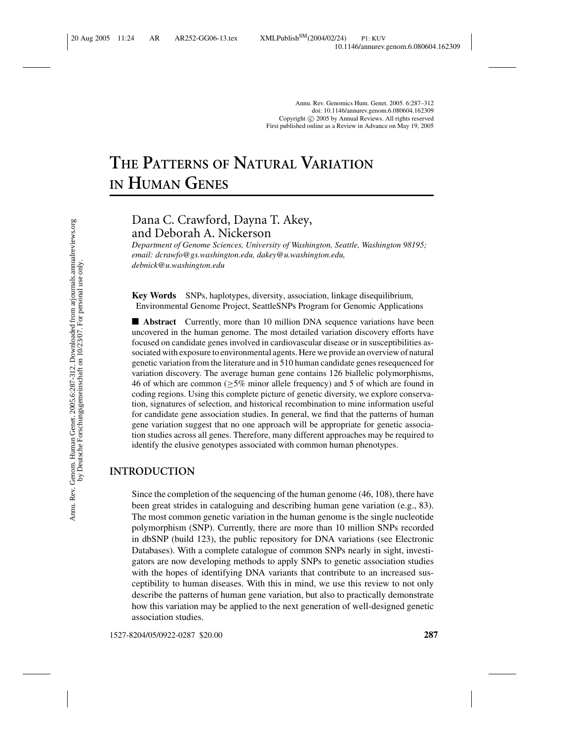# **THE PATTERNS OF NATURAL VARIATION IN HUMAN GENES**

## Dana C. Crawford, Dayna T. Akey, and Deborah A. Nickerson

*Department of Genome Sciences, University of Washington, Seattle, Washington 98195; email: dcrawfo@gs.washington.edu, dakey@u.washington.edu, debnick@u.washington.edu*

**Key Words** SNPs, haplotypes, diversity, association, linkage disequilibrium, Environmental Genome Project, SeattleSNPs Program for Genomic Applications

■ **Abstract** Currently, more than 10 million DNA sequence variations have been uncovered in the human genome. The most detailed variation discovery efforts have focused on candidate genes involved in cardiovascular disease or in susceptibilities associated with exposure to environmental agents. Here we provide an overview of natural genetic variation from the literature and in 510 human candidate genes resequenced for variation discovery. The average human gene contains 126 biallelic polymorphisms, 46 of which are common ( $\geq$ 5% minor allele frequency) and 5 of which are found in coding regions. Using this complete picture of genetic diversity, we explore conservation, signatures of selection, and historical recombination to mine information useful for candidate gene association studies. In general, we find that the patterns of human gene variation suggest that no one approach will be appropriate for genetic association studies across all genes. Therefore, many different approaches may be required to identify the elusive genotypes associated with common human phenotypes.

## **INTRODUCTION**

Since the completion of the sequencing of the human genome (46, 108), there have been great strides in cataloguing and describing human gene variation (e.g., 83). The most common genetic variation in the human genome is the single nucleotide polymorphism (SNP). Currently, there are more than 10 million SNPs recorded in dbSNP (build 123), the public repository for DNA variations (see Electronic Databases). With a complete catalogue of common SNPs nearly in sight, investigators are now developing methods to apply SNPs to genetic association studies with the hopes of identifying DNA variants that contribute to an increased susceptibility to human diseases. With this in mind, we use this review to not only describe the patterns of human gene variation, but also to practically demonstrate how this variation may be applied to the next generation of well-designed genetic association studies.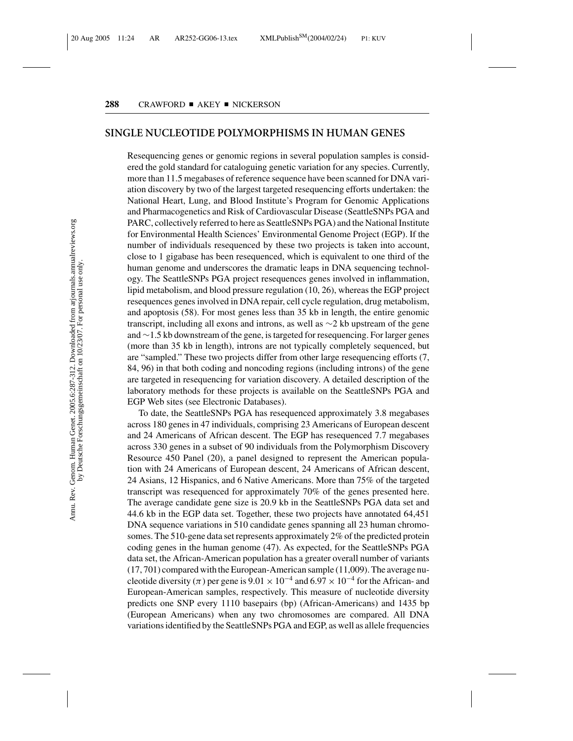#### **SINGLE NUCLEOTIDE POLYMORPHISMS IN HUMAN GENES**

Resequencing genes or genomic regions in several population samples is considered the gold standard for cataloguing genetic variation for any species. Currently, more than 11.5 megabases of reference sequence have been scanned for DNA variation discovery by two of the largest targeted resequencing efforts undertaken: the National Heart, Lung, and Blood Institute's Program for Genomic Applications and Pharmacogenetics and Risk of Cardiovascular Disease (SeattleSNPs PGA and PARC, collectively referred to here as SeattleSNPs PGA) and the National Institute for Environmental Health Sciences' Environmental Genome Project (EGP). If the number of individuals resequenced by these two projects is taken into account, close to 1 gigabase has been resequenced, which is equivalent to one third of the human genome and underscores the dramatic leaps in DNA sequencing technology. The SeattleSNPs PGA project resequences genes involved in inflammation, lipid metabolism, and blood pressure regulation (10, 26), whereas the EGP project resequences genes involved in DNA repair, cell cycle regulation, drug metabolism, and apoptosis (58). For most genes less than 35 kb in length, the entire genomic transcript, including all exons and introns, as well as ∼2 kb upstream of the gene and ∼1.5 kb downstream of the gene, is targeted for resequencing. For larger genes (more than 35 kb in length), introns are not typically completely sequenced, but are "sampled." These two projects differ from other large resequencing efforts (7, 84, 96) in that both coding and noncoding regions (including introns) of the gene are targeted in resequencing for variation discovery. A detailed description of the laboratory methods for these projects is available on the SeattleSNPs PGA and EGP Web sites (see Electronic Databases).

To date, the SeattleSNPs PGA has resequenced approximately 3.8 megabases across 180 genes in 47 individuals, comprising 23 Americans of European descent and 24 Americans of African descent. The EGP has resequenced 7.7 megabases across 330 genes in a subset of 90 individuals from the Polymorphism Discovery Resource 450 Panel (20), a panel designed to represent the American population with 24 Americans of European descent, 24 Americans of African descent, 24 Asians, 12 Hispanics, and 6 Native Americans. More than 75% of the targeted transcript was resequenced for approximately 70% of the genes presented here. The average candidate gene size is 20.9 kb in the SeattleSNPs PGA data set and 44.6 kb in the EGP data set. Together, these two projects have annotated 64,451 DNA sequence variations in 510 candidate genes spanning all 23 human chromosomes. The 510-gene data set represents approximately 2% of the predicted protein coding genes in the human genome (47). As expected, for the SeattleSNPs PGA data set, the African-American population has a greater overall number of variants (17, 701) compared with the European-American sample (11,009). The average nucleotide diversity ( $\pi$ ) per gene is 9.01 × 10<sup>-4</sup> and 6.97 × 10<sup>-4</sup> for the African- and European-American samples, respectively. This measure of nucleotide diversity predicts one SNP every 1110 basepairs (bp) (African-Americans) and 1435 bp (European Americans) when any two chromosomes are compared. All DNA variations identified by the SeattleSNPs PGA and EGP, as well as allele frequencies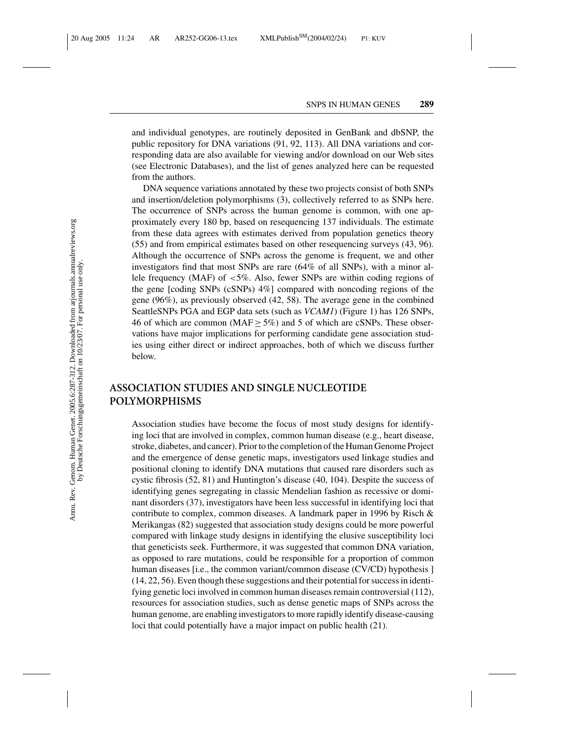and individual genotypes, are routinely deposited in GenBank and dbSNP, the public repository for DNA variations (91, 92, 113). All DNA variations and corresponding data are also available for viewing and/or download on our Web sites (see Electronic Databases), and the list of genes analyzed here can be requested from the authors.

DNA sequence variations annotated by these two projects consist of both SNPs and insertion/deletion polymorphisms (3), collectively referred to as SNPs here. The occurrence of SNPs across the human genome is common, with one approximately every 180 bp, based on resequencing 137 individuals. The estimate from these data agrees with estimates derived from population genetics theory (55) and from empirical estimates based on other resequencing surveys (43, 96). Although the occurrence of SNPs across the genome is frequent, we and other investigators find that most SNPs are rare (64% of all SNPs), with a minor allele frequency (MAF) of <5%. Also, fewer SNPs are within coding regions of the gene [coding SNPs (cSNPs) 4%] compared with noncoding regions of the gene (96%), as previously observed (42, 58). The average gene in the combined SeattleSNPs PGA and EGP data sets (such as *VCAM1*) (Figure 1) has 126 SNPs, 46 of which are common (MAF  $\geq$  5%) and 5 of which are cSNPs. These observations have major implications for performing candidate gene association studies using either direct or indirect approaches, both of which we discuss further below.

## **ASSOCIATION STUDIES AND SINGLE NUCLEOTIDE POLYMORPHISMS**

Association studies have become the focus of most study designs for identifying loci that are involved in complex, common human disease (e.g., heart disease, stroke, diabetes, and cancer). Prior to the completion of the Human Genome Project and the emergence of dense genetic maps, investigators used linkage studies and positional cloning to identify DNA mutations that caused rare disorders such as cystic fibrosis (52, 81) and Huntington's disease (40, 104). Despite the success of identifying genes segregating in classic Mendelian fashion as recessive or dominant disorders (37), investigators have been less successful in identifying loci that contribute to complex, common diseases. A landmark paper in 1996 by Risch & Merikangas (82) suggested that association study designs could be more powerful compared with linkage study designs in identifying the elusive susceptibility loci that geneticists seek. Furthermore, it was suggested that common DNA variation, as opposed to rare mutations, could be responsible for a proportion of common human diseases [i.e., the common variant/common disease (CV/CD) hypothesis ] (14, 22, 56). Even though these suggestions and their potential for success in identifying genetic loci involved in common human diseases remain controversial (112), resources for association studies, such as dense genetic maps of SNPs across the human genome, are enabling investigators to more rapidly identify disease-causing loci that could potentially have a major impact on public health (21).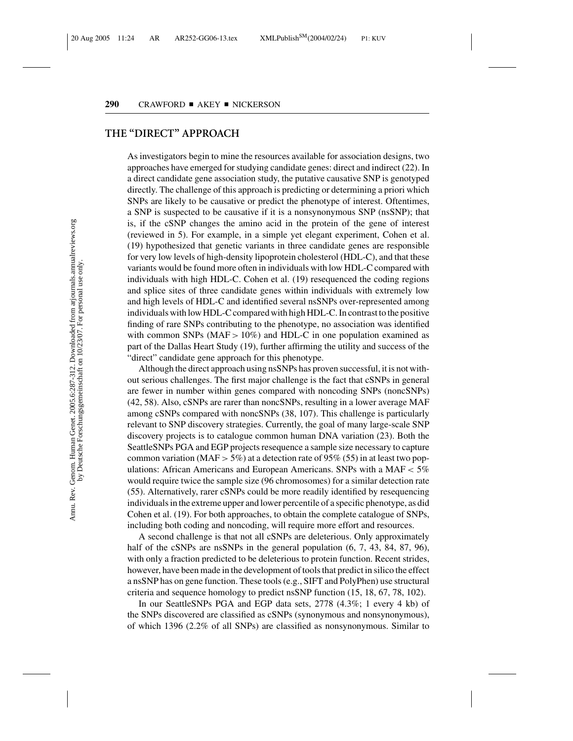## **THE "DIRECT" APPROACH**

As investigators begin to mine the resources available for association designs, two approaches have emerged for studying candidate genes: direct and indirect (22). In a direct candidate gene association study, the putative causative SNP is genotyped directly. The challenge of this approach is predicting or determining a priori which SNPs are likely to be causative or predict the phenotype of interest. Oftentimes, a SNP is suspected to be causative if it is a nonsynonymous SNP (nsSNP); that is, if the cSNP changes the amino acid in the protein of the gene of interest (reviewed in 5). For example, in a simple yet elegant experiment, Cohen et al. (19) hypothesized that genetic variants in three candidate genes are responsible for very low levels of high-density lipoprotein cholesterol (HDL-C), and that these variants would be found more often in individuals with low HDL-C compared with individuals with high HDL-C. Cohen et al. (19) resequenced the coding regions and splice sites of three candidate genes within individuals with extremely low and high levels of HDL-C and identified several nsSNPs over-represented among individuals with low HDL-C compared with high HDL-C. In contrast to the positive finding of rare SNPs contributing to the phenotype, no association was identified with common SNPs ( $MAF > 10\%$ ) and HDL-C in one population examined as part of the Dallas Heart Study (19), further affirming the utility and success of the "direct" candidate gene approach for this phenotype.

Although the direct approach using nsSNPs has proven successful, it is not without serious challenges. The first major challenge is the fact that cSNPs in general are fewer in number within genes compared with noncoding SNPs (noncSNPs) (42, 58). Also, cSNPs are rarer than noncSNPs, resulting in a lower average MAF among cSNPs compared with noncSNPs (38, 107). This challenge is particularly relevant to SNP discovery strategies. Currently, the goal of many large-scale SNP discovery projects is to catalogue common human DNA variation (23). Both the SeattleSNPs PGA and EGP projects resequence a sample size necessary to capture common variation (MAF  $>$  5%) at a detection rate of 95% (55) in at least two populations: African Americans and European Americans. SNPs with a MAF  $<$  5% would require twice the sample size (96 chromosomes) for a similar detection rate (55). Alternatively, rarer cSNPs could be more readily identified by resequencing individuals in the extreme upper and lower percentile of a specific phenotype, as did Cohen et al. (19). For both approaches, to obtain the complete catalogue of SNPs, including both coding and noncoding, will require more effort and resources.

A second challenge is that not all cSNPs are deleterious. Only approximately half of the cSNPs are nsSNPs in the general population  $(6, 7, 43, 84, 87, 96)$ , with only a fraction predicted to be deleterious to protein function. Recent strides, however, have been made in the development of tools that predict in silico the effect a nsSNP has on gene function. These tools (e.g., SIFT and PolyPhen) use structural criteria and sequence homology to predict nsSNP function (15, 18, 67, 78, 102).

In our SeattleSNPs PGA and EGP data sets, 2778 (4.3%; 1 every 4 kb) of the SNPs discovered are classified as cSNPs (synonymous and nonsynonymous), of which 1396 (2.2% of all SNPs) are classified as nonsynonymous. Similar to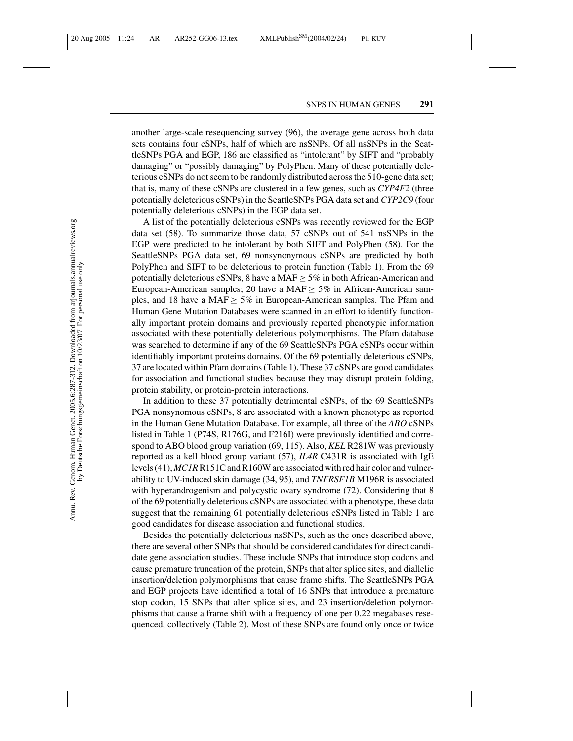another large-scale resequencing survey (96), the average gene across both data sets contains four cSNPs, half of which are nsSNPs. Of all nsSNPs in the SeattleSNPs PGA and EGP, 186 are classified as "intolerant" by SIFT and "probably damaging" or "possibly damaging" by PolyPhen. Many of these potentially deleterious cSNPs do not seem to be randomly distributed across the 510-gene data set; that is, many of these cSNPs are clustered in a few genes, such as *CYP4F2* (three potentially deleterious cSNPs) in the SeattleSNPs PGA data set and *CYP2C9* (four potentially deleterious cSNPs) in the EGP data set.

A list of the potentially deleterious cSNPs was recently reviewed for the EGP data set (58). To summarize those data, 57 cSNPs out of 541 nsSNPs in the EGP were predicted to be intolerant by both SIFT and PolyPhen (58). For the SeattleSNPs PGA data set, 69 nonsynonymous cSNPs are predicted by both PolyPhen and SIFT to be deleterious to protein function (Table 1). From the 69 potentially deleterious cSNPs, 8 have a MAF  $\geq$  5% in both African-American and European-American samples; 20 have a MAF  $\geq$  5% in African-American samples, and 18 have a MAF  $\geq$  5% in European-American samples. The Pfam and Human Gene Mutation Databases were scanned in an effort to identify functionally important protein domains and previously reported phenotypic information associated with these potentially deleterious polymorphisms. The Pfam database was searched to determine if any of the 69 SeattleSNPs PGA cSNPs occur within identifiably important proteins domains. Of the 69 potentially deleterious cSNPs, 37 are located within Pfam domains (Table 1). These 37 cSNPs are good candidates for association and functional studies because they may disrupt protein folding, protein stability, or protein-protein interactions.

In addition to these 37 potentially detrimental cSNPs, of the 69 SeattleSNPs PGA nonsynomous cSNPs, 8 are associated with a known phenotype as reported in the Human Gene Mutation Database. For example, all three of the *ABO* cSNPs listed in Table 1 (P74S, R176G, and F216I) were previously identified and correspond to ABO blood group variation (69, 115). Also, *KEL* R281W was previously reported as a kell blood group variant (57), *IL4R* C431R is associated with IgE levels (41), *MC1R*R151C and R160W are associated with red hair color and vulnerability to UV-induced skin damage (34, 95), and *TNFRSF1B* M196R is associated with hyperandrogenism and polycystic ovary syndrome (72). Considering that 8 of the 69 potentially deleterious cSNPs are associated with a phenotype, these data suggest that the remaining 61 potentially deleterious cSNPs listed in Table 1 are good candidates for disease association and functional studies.

Besides the potentially deleterious nsSNPs, such as the ones described above, there are several other SNPs that should be considered candidates for direct candidate gene association studies. These include SNPs that introduce stop codons and cause premature truncation of the protein, SNPs that alter splice sites, and diallelic insertion/deletion polymorphisms that cause frame shifts. The SeattleSNPs PGA and EGP projects have identified a total of 16 SNPs that introduce a premature stop codon, 15 SNPs that alter splice sites, and 23 insertion/deletion polymorphisms that cause a frame shift with a frequency of one per 0.22 megabases resequenced, collectively (Table 2). Most of these SNPs are found only once or twice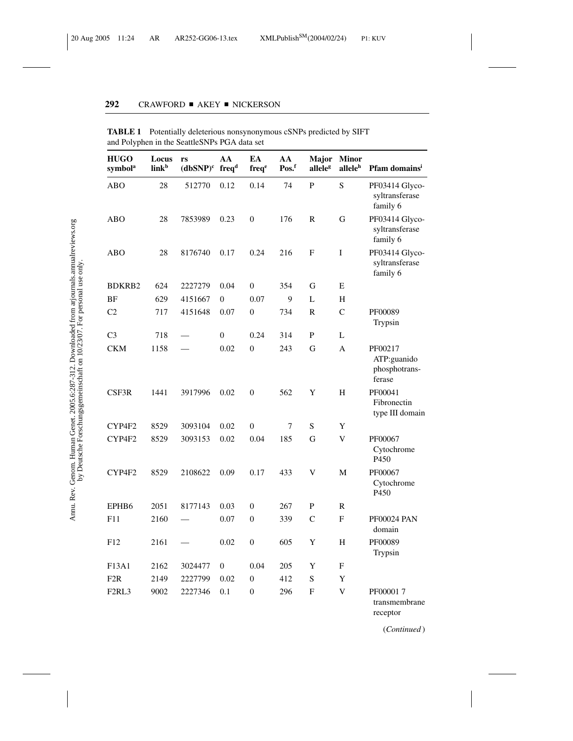| <b>HUGO</b><br>symbol <sup>a</sup> | Locus<br>link <sup>b</sup> | rs<br>$(dbSNP)^c$ freq <sup>d</sup> | AA               | EA<br>freq <sup>e</sup> | AA<br>Pos.f | Major<br>alleleg | <b>Minor</b><br>allele <sup>h</sup> | Pfam domains <sup>i</sup>                         |
|------------------------------------|----------------------------|-------------------------------------|------------------|-------------------------|-------------|------------------|-------------------------------------|---------------------------------------------------|
| <b>ABO</b>                         | 28                         | 512770                              | 0.12             | 0.14                    | 74          | P                | $\mathbf S$                         | PF03414 Glyco-<br>syltransferase<br>family 6      |
| ABO                                | 28                         | 7853989                             | 0.23             | $\boldsymbol{0}$        | 176         | $\mathbb{R}$     | G                                   | PF03414 Glyco-<br>syltransferase<br>family 6      |
| <b>ABO</b>                         | 28                         | 8176740                             | 0.17             | 0.24                    | 216         | F                | I                                   | PF03414 Glyco-<br>syltransferase<br>family 6      |
| <b>BDKRB2</b>                      | 624                        | 2227279                             | 0.04             | $\mathbf{0}$            | 354         | G                | E                                   |                                                   |
| BF                                 | 629                        | 4151667                             | $\mathbf{0}$     | 0.07                    | 9           | L                | H                                   |                                                   |
| C <sub>2</sub>                     | 717                        | 4151648                             | 0.07             | $\boldsymbol{0}$        | 734         | $\mathbf R$      | $\mathsf{C}$                        | PF00089<br>Trypsin                                |
| C <sub>3</sub>                     | 718                        |                                     | $\overline{0}$   | 0.24                    | 314         | ${\bf P}$        | L                                   |                                                   |
| <b>CKM</b>                         | 1158                       |                                     | 0.02             | $\mathbf{0}$            | 243         | G                | A                                   | PF00217<br>ATP:guanido<br>phosphotrans-<br>ferase |
| CSF3R                              | 1441                       | 3917996                             | 0.02             | $\overline{0}$          | 562         | Y                | H                                   | PF00041<br>Fibronectin<br>type III domain         |
| CYP4F2                             | 8529                       | 3093104                             | 0.02             | $\boldsymbol{0}$        | 7           | S                | Y                                   |                                                   |
| CYP4F2                             | 8529                       | 3093153                             | 0.02             | 0.04                    | 185         | G                | V                                   | PF00067<br>Cytochrome<br>P <sub>450</sub>         |
| CYP4F2                             | 8529                       | 2108622                             | 0.09             | 0.17                    | 433         | V                | M                                   | PF00067<br>Cytochrome<br>P <sub>450</sub>         |
| EPHB <sub>6</sub>                  | 2051                       | 8177143                             | 0.03             | $\boldsymbol{0}$        | 267         | P                | $\mathbb{R}$                        |                                                   |
| F11                                | 2160                       |                                     | 0.07             | $\mathbf{0}$            | 339         | $\mathsf{C}$     | $\mathbf{F}$                        | <b>PF00024 PAN</b><br>domain                      |
| F12                                | 2161                       |                                     | 0.02             | $\overline{0}$          | 605         | Y                | H                                   | PF00089<br>Trypsin                                |
| F13A1                              | 2162                       | 3024477                             | $\boldsymbol{0}$ | 0.04                    | 205         | Y                | F                                   |                                                   |
| F2R                                | 2149                       | 2227799                             | 0.02             | $\mathbf{0}$            | 412         | $\mathbf S$      | Y                                   |                                                   |
| F <sub>2</sub> RL <sub>3</sub>     | 9002                       | 2227346                             | 0.1              | $\overline{0}$          | 296         | F                | V                                   | PF000017<br>transmembrane<br>receptor             |

**TABLE 1** Potentially deleterious nonsynonymous cSNPs predicted by SIFT and Polyphen in the SeattleSNPs PGA data set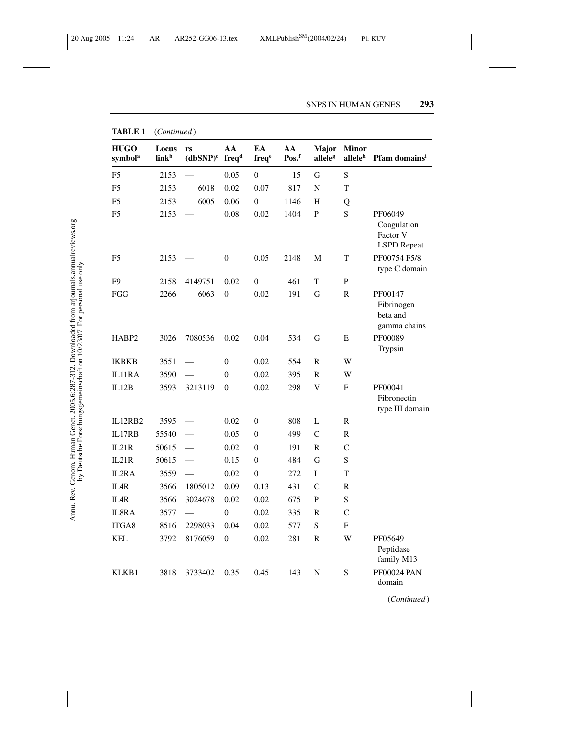| <b>HUGO</b><br>symbol <sup>a</sup> | Locus<br>link <sup>b</sup> | rs<br>$(dbSNP)^c$ | AA<br>freq <sup>d</sup> | EA<br>freq <sup>e</sup> | AA<br>$Pos^f$ | Major<br>alleleg        | <b>Minor</b><br>allele <sup>h</sup> | Pfam domains <sup>i</sup>                                |
|------------------------------------|----------------------------|-------------------|-------------------------|-------------------------|---------------|-------------------------|-------------------------------------|----------------------------------------------------------|
| F <sub>5</sub>                     | 2153                       |                   | 0.05                    | 0                       | 15            | G                       | $\mathbf S$                         |                                                          |
| F <sub>5</sub>                     | 2153                       | 6018              | 0.02                    | 0.07                    | 817           | N                       | T                                   |                                                          |
| F <sub>5</sub>                     | 2153                       | 6005              | 0.06                    | 0                       | 1146          | Η                       | Q                                   |                                                          |
| F <sub>5</sub>                     | 2153                       |                   | 0.08                    | 0.02                    | 1404          | $\mathbf P$             | S                                   | PF06049<br>Coagulation<br>Factor V<br><b>LSPD</b> Repeat |
| F <sub>5</sub>                     | 2153                       |                   | $\boldsymbol{0}$        | 0.05                    | 2148          | М                       | T                                   | PF00754 F5/8<br>type C domain                            |
| F <sub>9</sub>                     | 2158                       | 4149751           | 0.02                    | $\boldsymbol{0}$        | 461           | $\rm T$                 | ${\bf P}$                           |                                                          |
| FGG                                | 2266                       | 6063              | $\overline{0}$          | 0.02                    | 191           | G                       | R                                   | PF00147<br>Fibrinogen<br>beta and<br>gamma chains        |
| HABP2                              | 3026                       | 7080536           | 0.02                    | 0.04                    | 534           | G                       | E                                   | PF00089<br>Trypsin                                       |
| <b>IKBKB</b>                       | 3551                       |                   | $\overline{0}$          | 0.02                    | 554           | R                       | W                                   |                                                          |
| IL11RA                             | 3590                       |                   | $\overline{0}$          | 0.02                    | 395           | $\mathbb{R}$            | W                                   |                                                          |
| IL12B                              | 3593                       | 3213119           | $\overline{0}$          | 0.02                    | 298           | $\overline{\mathsf{V}}$ | F                                   | PF00041<br>Fibronectin<br>type III domain                |
| IL12RB2                            | 3595                       |                   | 0.02                    | 0                       | 808           | L                       | R                                   |                                                          |
| IL17RB                             | 55540                      |                   | 0.05                    | $\overline{0}$          | 499           | $\overline{C}$          | $\mathbf R$                         |                                                          |
| IL21R                              | 50615                      |                   | 0.02                    | $\boldsymbol{0}$        | 191           | R                       | C                                   |                                                          |
| IL21R                              | 50615                      |                   | 0.15                    | $\boldsymbol{0}$        | 484           | G                       | S                                   |                                                          |
| IL2RA                              | 3559                       |                   | 0.02                    | $\boldsymbol{0}$        | 272           | $\mathbf I$             | T                                   |                                                          |
| IL <sub>4</sub> R                  | 3566                       | 1805012           | 0.09                    | 0.13                    | 431           | $\mathbf C$             | R                                   |                                                          |
| IL <sub>4</sub> R                  | 3566                       | 3024678           | 0.02                    | 0.02                    | 675           | P                       | S                                   |                                                          |
| IL8RA                              | 3577                       |                   | $\mathbf{0}$            | 0.02                    | 335           | $\mathbb{R}$            | $\mathsf{C}$                        |                                                          |
| ITGA8                              | 8516                       | 2298033           | 0.04                    | 0.02                    | 577           | $\mathbf S$             | F                                   |                                                          |
| <b>KEL</b>                         | 3792                       | 8176059           | $\theta$                | 0.02                    | 281           | $\mathbb{R}$            | W                                   | PF05649<br>Peptidase<br>family M13                       |
| KLKB1                              | 3818                       | 3733402           | 0.35                    | 0.45                    | 143           | N                       | $\mathbf S$                         | <b>PF00024 PAN</b><br>domain                             |

**TABLE 1** (*Continued* )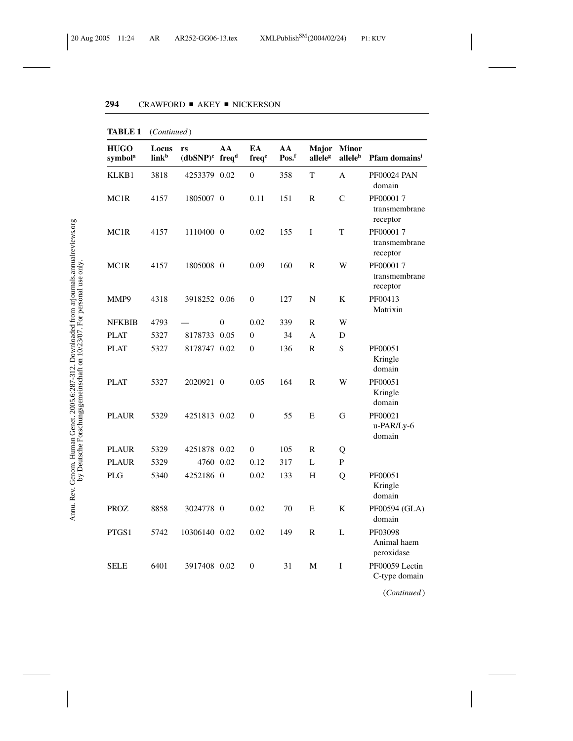| <b>HUGO</b><br>symbol <sup>a</sup> | Locus<br>link <sup>b</sup> | rs<br>$(dbSNP)^c$ freq <sup>d</sup> | AA           | EA<br>freqe      | AA<br>Pos.f | Major<br>alleleg | <b>Minor</b><br>allele <sup>h</sup> | Pfam domains <sup>i</sup>             |
|------------------------------------|----------------------------|-------------------------------------|--------------|------------------|-------------|------------------|-------------------------------------|---------------------------------------|
| KLKB1                              | 3818                       | 4253379 0.02                        |              | $\mathbf{0}$     | 358         | T                | A                                   | <b>PF00024 PAN</b><br>domain          |
| MC <sub>1</sub> R                  | 4157                       | 1805007 0                           |              | 0.11             | 151         | $\mathbb{R}$     | $\mathcal{C}$                       | PF000017<br>transmembrane<br>receptor |
| MC1R                               | 4157                       | 1110400 0                           |              | 0.02             | 155         | I                | T                                   | PF000017<br>transmembrane<br>receptor |
| MC1R                               | 4157                       | 1805008 0                           |              | 0.09             | 160         | $\mathbb{R}$     | W                                   | PF000017<br>transmembrane<br>receptor |
| MMP9                               | 4318                       | 3918252 0.06                        |              | $\overline{0}$   | 127         | N                | K                                   | PF00413<br>Matrixin                   |
| <b>NFKBIB</b>                      | 4793                       |                                     | $\mathbf{0}$ | 0.02             | 339         | R                | W                                   |                                       |
| <b>PLAT</b>                        | 5327                       | 8178733 0.05                        |              | $\theta$         | 34          | A                | D                                   |                                       |
| <b>PLAT</b>                        | 5327                       | 8178747 0.02                        |              | $\boldsymbol{0}$ | 136         | R                | $\mathbf S$                         | PF00051<br>Kringle<br>domain          |
| <b>PLAT</b>                        | 5327                       | 2020921 0                           |              | 0.05             | 164         | R                | W                                   | PF00051<br>Kringle<br>domain          |
| <b>PLAUR</b>                       | 5329                       | 4251813 0.02                        |              | $\theta$         | 55          | E                | G                                   | PF00021<br>u-PAR/Ly-6<br>domain       |
| <b>PLAUR</b>                       | 5329                       | 4251878 0.02                        |              | $\overline{0}$   | 105         | R                | Q                                   |                                       |
| <b>PLAUR</b>                       | 5329                       | 4760 0.02                           |              | 0.12             | 317         | L                | P                                   |                                       |
| <b>PLG</b>                         | 5340                       | 4252186 0                           |              | 0.02             | 133         | H                | Q                                   | PF00051<br>Kringle<br>domain          |
| <b>PROZ</b>                        | 8858                       | 3024778 0                           |              | 0.02             | 70          | E                | K                                   | PF00594 (GLA)<br>domain               |
| PTGS1                              | 5742                       | 10306140 0.02                       |              | 0.02             | 149         | $\mathbb{R}$     | L                                   | PF03098<br>Animal haem<br>peroxidase  |
| <b>SELE</b>                        | 6401                       | 3917408 0.02                        |              | $\boldsymbol{0}$ | 31          | ${\bf M}$        | I                                   | PF00059 Lectin<br>C-type domain       |

**TABLE 1** (*Continued* )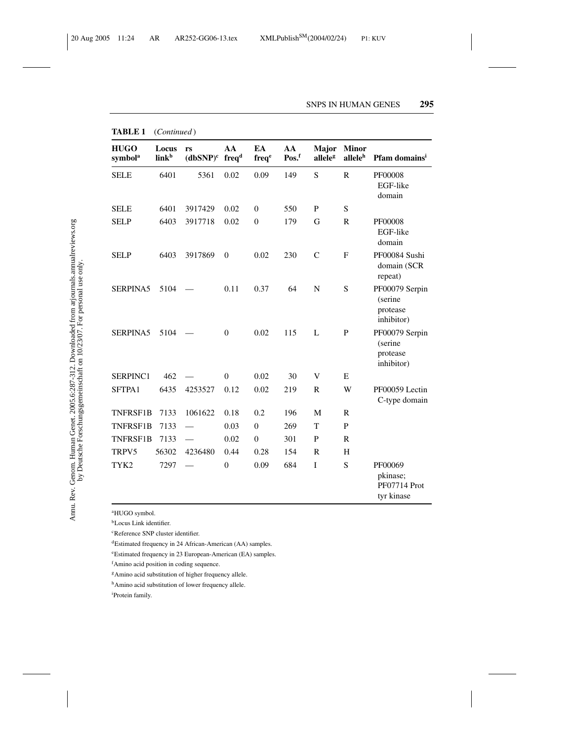| <b>HUGO</b><br>symbol <sup>a</sup> | Locus<br>link <sup>b</sup> | rs<br>$(dbSNP)^c$ | AA<br>freq <sup>d</sup> | EA<br>freq <sup>e</sup> | AA<br>Pos.f | Major<br>alleleg | <b>Minor</b><br>allele <sup>h</sup> | Pfam domains <sup>i</sup>                           |
|------------------------------------|----------------------------|-------------------|-------------------------|-------------------------|-------------|------------------|-------------------------------------|-----------------------------------------------------|
| <b>SELE</b>                        | 6401                       | 5361              | 0.02                    | 0.09                    | 149         | S                | $\mathbb{R}$                        | PF00008<br>EGF-like<br>domain                       |
| <b>SELE</b>                        | 6401                       | 3917429           | 0.02                    | $\boldsymbol{0}$        | 550         | P                | S                                   |                                                     |
| <b>SELP</b>                        | 6403                       | 3917718           | 0.02                    | $\overline{0}$          | 179         | G                | $\mathsf{R}$                        | PF00008<br>EGF-like<br>domain                       |
| <b>SELP</b>                        | 6403                       | 3917869           | $\theta$                | 0.02                    | 230         | $\mathcal{C}$    | F                                   | PF00084 Sushi<br>domain (SCR<br>repeat)             |
| SERPINA5                           | 5104                       |                   | 0.11                    | 0.37                    | 64          | N                | S                                   | PF00079 Serpin<br>(serine<br>protease<br>inhibitor) |
| <b>SERPINA5</b>                    | 5104                       |                   | $\mathbf{0}$            | 0.02                    | 115         | L                | P                                   | PF00079 Serpin<br>(serine<br>protease<br>inhibitor) |
| SERPINC1                           | 462                        |                   | $\overline{0}$          | 0.02                    | 30          | V                | E                                   |                                                     |
| SFTPA1                             | 6435                       | 4253527           | 0.12                    | 0.02                    | 219         | $\mathbb{R}$     | W                                   | PF00059 Lectin<br>C-type domain                     |
| <b>TNFRSF1B</b>                    | 7133                       | 1061622           | 0.18                    | 0.2                     | 196         | M                | $\mathbb{R}$                        |                                                     |
| <b>TNFRSF1B</b>                    | 7133                       |                   | 0.03                    | $\mathbf{0}$            | 269         | T                | $\mathbf{P}$                        |                                                     |
| <b>TNFRSF1B</b>                    | 7133                       |                   | 0.02                    | $\mathbf{0}$            | 301         | P                | $\mathbb{R}$                        |                                                     |
| TRPV5                              | 56302                      | 4236480           | 0.44                    | 0.28                    | 154         | $\mathbb{R}$     | H                                   |                                                     |
| TYK2                               | 7297                       |                   | $\mathbf{0}$            | 0.09                    | 684         | $\mathbf I$      | S                                   | PF00069<br>pkinase;<br>PF07714 Prot<br>tyr kinase   |

**TABLE 1** (*Continued* )

<sup>a</sup>HUGO symbol.

bLocus Link identifier.

<sup>c</sup>Reference SNP cluster identifier.

dEstimated frequency in 24 African-American (AA) samples.

eEstimated frequency in 23 European-American (EA) samples.

f Amino acid position in coding sequence.

<sup>g</sup>Amino acid substitution of higher frequency allele.

hAmino acid substitution of lower frequency allele.

i Protein family.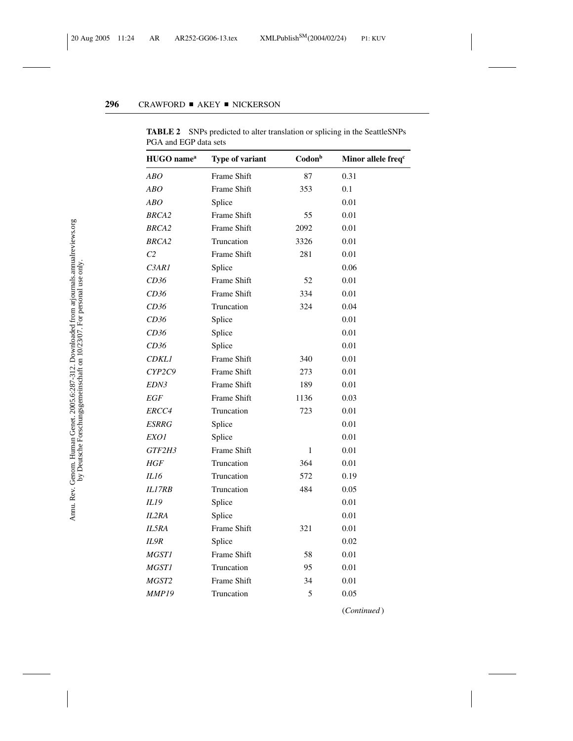| HUGO name <sup>a</sup> | Type of variant    | Codon <sup>b</sup> | Minor allele freq <sup>c</sup> |
|------------------------|--------------------|--------------------|--------------------------------|
| ABO                    | Frame Shift        | 87                 | 0.31                           |
| ABO                    | Frame Shift        | 353                | 0.1                            |
| ABO                    | Splice             |                    | 0.01                           |
| <b>BRCA2</b>           | Frame Shift        | 55                 | 0.01                           |
| <b>BRCA2</b>           | Frame Shift        | 2092               | 0.01                           |
| <b>BRCA2</b>           | Truncation         | 3326               | 0.01                           |
| C <sub>2</sub>         | Frame Shift        | 281                | 0.01                           |
| C3AR1                  | Splice             |                    | 0.06                           |
| CD36                   | Frame Shift        | 52                 | 0.01                           |
| CD36                   | <b>Frame Shift</b> | 334                | 0.01                           |
| CD36                   | Truncation         | 324                | 0.04                           |
| CD36                   | Splice             |                    | 0.01                           |
| CD36                   | Splice             |                    | 0.01                           |
| CD36                   | Splice             |                    | 0.01                           |
| <i>CDKL1</i>           | Frame Shift        | 340                | 0.01                           |
| CYP2C9                 | Frame Shift        | 273                | 0.01                           |
| <i>EDN3</i>            | Frame Shift        | 189                | 0.01                           |
| EGF                    | Frame Shift        | 1136               | 0.03                           |
| ERCC4                  | Truncation         | 723                | 0.01                           |
| ESRRG                  | Splice             |                    | 0.01                           |
| EXO1                   | Splice             |                    | 0.01                           |
| GTF2H3                 | <b>Frame Shift</b> | $\mathbf{1}$       | 0.01                           |
| HGF                    | Truncation         | 364                | 0.01                           |
| IL16                   | Truncation         | 572                | 0.19                           |
| <b>IL17RB</b>          | Truncation         | 484                | 0.05                           |
| IL19                   | Splice             |                    | 0.01                           |
| IL2RA                  | Splice             |                    | 0.01                           |
| IL5RA                  | Frame Shift        | 321                | 0.01                           |
| IL9R                   | Splice             |                    | 0.02                           |
| <i>MGST1</i>           | Frame Shift        | 58                 | 0.01                           |
| <b>MGST1</b>           | Truncation         | 95                 | 0.01                           |
| MGST2                  | Frame Shift        | 34                 | 0.01                           |
| <b>MMP19</b>           | Truncation         | 5                  | 0.05                           |

**TABLE 2** SNPs predicted to alter translation or splicing in the SeattleSNPs PGA and EGP data sets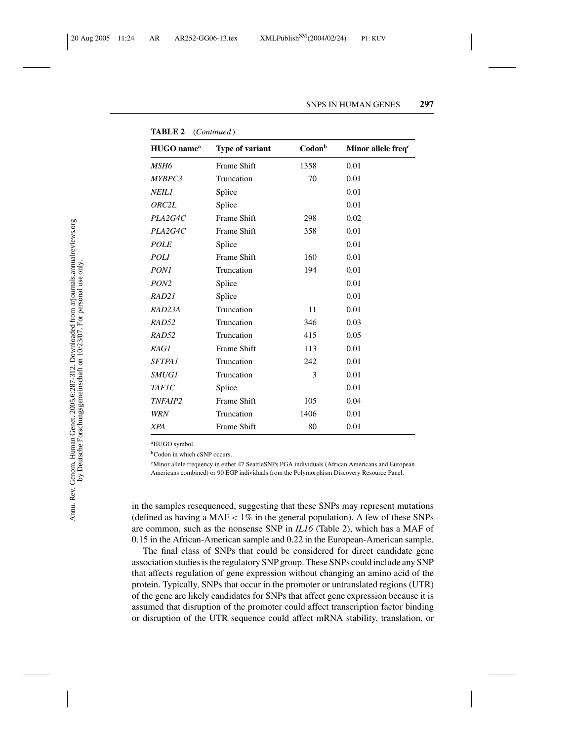| HUGO name <sup>a</sup> | Type of variant | Codon <sup>b</sup> | Minor allele freq <sup>c</sup> |
|------------------------|-----------------|--------------------|--------------------------------|
| MSH6                   | Frame Shift     | 1358               | 0.01                           |
| MYBPC3                 | Truncation      | 70                 | 0.01                           |
| <b>NEIL1</b>           | Splice          |                    | 0.01                           |
| ORC2L                  | Splice          |                    | 0.01                           |
| PLA2G4C                | Frame Shift     | 298                | 0.02                           |
| PLA2G4C                | Frame Shift     | 358                | 0.01                           |
| <b>POLE</b>            | Splice          |                    | 0.01                           |
| POLI                   | Frame Shift     | 160                | 0.01                           |
| <i>PON1</i>            | Truncation      | 194                | 0.01                           |
| PON <sub>2</sub>       | Splice          |                    | 0.01                           |
| RAD21                  | Splice          |                    | 0.01                           |
| RAD23A                 | Truncation      | 11                 | 0.01                           |
| RAD52                  | Truncation      | 346                | 0.03                           |
| RAD52                  | Truncation      | 415                | 0.05                           |
| RAG1                   | Frame Shift     | 113                | 0.01                           |
| <b>SFTPA1</b>          | Truncation      | 242                | 0.01                           |
| <i>SMUG1</i>           | Truncation      | 3                  | 0.01                           |
| <b>TAFIC</b>           | Splice          |                    | 0.01                           |
| TNFAIP2                | Frame Shift     | 105                | 0.04                           |
| <b>WRN</b>             | Truncation      | 1406               | 0.01                           |
| <b>XPA</b>             | Frame Shift     | 80                 | 0.01                           |

**TABLE 2** (*Continued* )

<sup>a</sup>HUGO symbol.

**bCodon** in which cSNP occurs.

cMinor allele frequency in either 47 SeattleSNPs PGA individuals (African Americans and European Americans combined) or 90 EGP individuals from the Polymorphism Discovery Resource Panel.

in the samples resequenced, suggesting that these SNPs may represent mutations (defined as having a MAF  $< 1\%$  in the general population). A few of these SNPs are common, such as the nonsense SNP in *IL16* (Table 2), which has a MAF of 0.15 in the African-American sample and 0.22 in the European-American sample.

The final class of SNPs that could be considered for direct candidate gene association studies is the regulatory SNP group. These SNPs could include any SNP that affects regulation of gene expression without changing an amino acid of the protein. Typically, SNPs that occur in the promoter or untranslated regions (UTR) of the gene are likely candidates for SNPs that affect gene expression because it is assumed that disruption of the promoter could affect transcription factor binding or disruption of the UTR sequence could affect mRNA stability, translation, or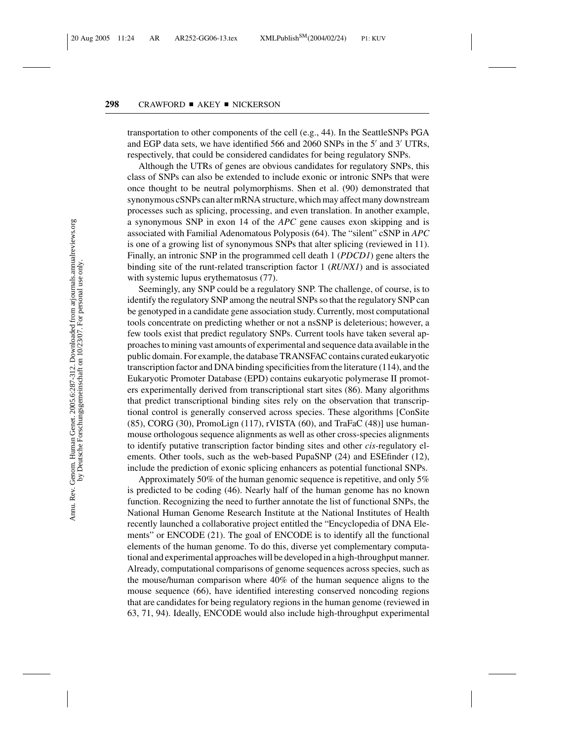transportation to other components of the cell (e.g., 44). In the SeattleSNPs PGA and EGP data sets, we have identified 566 and 2060 SNPs in the 5' and 3' UTRs, respectively, that could be considered candidates for being regulatory SNPs.

Although the UTRs of genes are obvious candidates for regulatory SNPs, this class of SNPs can also be extended to include exonic or intronic SNPs that were once thought to be neutral polymorphisms. Shen et al. (90) demonstrated that synonymous cSNPs can alter mRNA structure, which may affect many downstream processes such as splicing, processing, and even translation. In another example, a synonymous SNP in exon 14 of the *APC* gene causes exon skipping and is associated with Familial Adenomatous Polyposis (64). The "silent" cSNP in *APC* is one of a growing list of synonymous SNPs that alter splicing (reviewed in 11). Finally, an intronic SNP in the programmed cell death 1 (*PDCD1*) gene alters the binding site of the runt-related transcription factor 1 (*RUNX1*) and is associated with systemic lupus erythematosus (77).

Seemingly, any SNP could be a regulatory SNP. The challenge, of course, is to identify the regulatory SNP among the neutral SNPs so that the regulatory SNP can be genotyped in a candidate gene association study. Currently, most computational tools concentrate on predicting whether or not a nsSNP is deleterious; however, a few tools exist that predict regulatory SNPs. Current tools have taken several approaches to mining vast amounts of experimental and sequence data available in the public domain. For example, the database TRANSFAC contains curated eukaryotic transcription factor and DNA binding specificities from the literature (114), and the Eukaryotic Promoter Database (EPD) contains eukaryotic polymerase II promoters experimentally derived from transcriptional start sites (86). Many algorithms that predict transcriptional binding sites rely on the observation that transcriptional control is generally conserved across species. These algorithms [ConSite (85), CORG (30), PromoLign (117), rVISTA (60), and TraFaC (48)] use humanmouse orthologous sequence alignments as well as other cross-species alignments to identify putative transcription factor binding sites and other *cis-*regulatory elements. Other tools, such as the web-based PupaSNP (24) and ESEfinder (12), include the prediction of exonic splicing enhancers as potential functional SNPs.

Approximately 50% of the human genomic sequence is repetitive, and only 5% is predicted to be coding (46). Nearly half of the human genome has no known function. Recognizing the need to further annotate the list of functional SNPs, the National Human Genome Research Institute at the National Institutes of Health recently launched a collaborative project entitled the "Encyclopedia of DNA Elements" or ENCODE (21). The goal of ENCODE is to identify all the functional elements of the human genome. To do this, diverse yet complementary computational and experimental approaches will be developed in a high-throughput manner. Already, computational comparisons of genome sequences across species, such as the mouse/human comparison where 40% of the human sequence aligns to the mouse sequence (66), have identified interesting conserved noncoding regions that are candidates for being regulatory regions in the human genome (reviewed in 63, 71, 94). Ideally, ENCODE would also include high-throughput experimental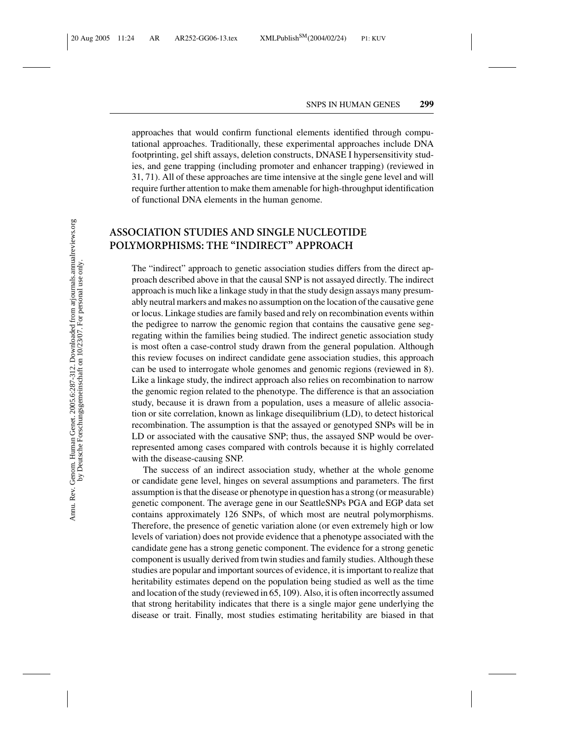approaches that would confirm functional elements identified through computational approaches. Traditionally, these experimental approaches include DNA footprinting, gel shift assays, deletion constructs, DNASE I hypersensitivity studies, and gene trapping (including promoter and enhancer trapping) (reviewed in 31, 71). All of these approaches are time intensive at the single gene level and will require further attention to make them amenable for high-throughput identification of functional DNA elements in the human genome.

## **ASSOCIATION STUDIES AND SINGLE NUCLEOTIDE POLYMORPHISMS: THE "INDIRECT" APPROACH**

The "indirect" approach to genetic association studies differs from the direct approach described above in that the causal SNP is not assayed directly. The indirect approach is much like a linkage study in that the study design assays many presumably neutral markers and makes no assumption on the location of the causative gene or locus. Linkage studies are family based and rely on recombination events within the pedigree to narrow the genomic region that contains the causative gene segregating within the families being studied. The indirect genetic association study is most often a case-control study drawn from the general population. Although this review focuses on indirect candidate gene association studies, this approach can be used to interrogate whole genomes and genomic regions (reviewed in 8). Like a linkage study, the indirect approach also relies on recombination to narrow the genomic region related to the phenotype. The difference is that an association study, because it is drawn from a population, uses a measure of allelic association or site correlation, known as linkage disequilibrium (LD), to detect historical recombination. The assumption is that the assayed or genotyped SNPs will be in LD or associated with the causative SNP; thus, the assayed SNP would be overrepresented among cases compared with controls because it is highly correlated with the disease-causing SNP.

The success of an indirect association study, whether at the whole genome or candidate gene level, hinges on several assumptions and parameters. The first assumption is that the disease or phenotype in question has a strong (or measurable) genetic component. The average gene in our SeattleSNPs PGA and EGP data set contains approximately 126 SNPs, of which most are neutral polymorphisms. Therefore, the presence of genetic variation alone (or even extremely high or low levels of variation) does not provide evidence that a phenotype associated with the candidate gene has a strong genetic component. The evidence for a strong genetic component is usually derived from twin studies and family studies. Although these studies are popular and important sources of evidence, it is important to realize that heritability estimates depend on the population being studied as well as the time and location of the study (reviewed in 65, 109). Also, it is often incorrectly assumed that strong heritability indicates that there is a single major gene underlying the disease or trait. Finally, most studies estimating heritability are biased in that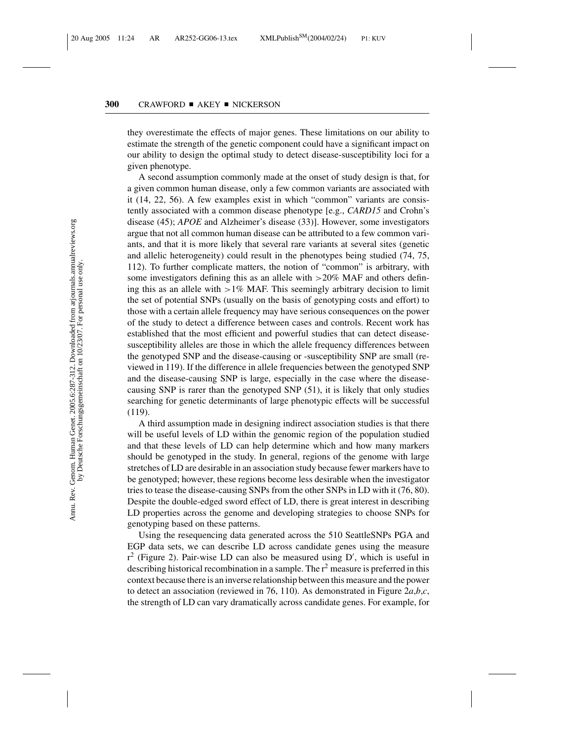they overestimate the effects of major genes. These limitations on our ability to estimate the strength of the genetic component could have a significant impact on our ability to design the optimal study to detect disease-susceptibility loci for a given phenotype.

A second assumption commonly made at the onset of study design is that, for a given common human disease, only a few common variants are associated with it (14, 22, 56). A few examples exist in which "common" variants are consistently associated with a common disease phenotype [e.g., *CARD15* and Crohn's disease (45); *APOE* and Alzheimer's disease (33)]. However, some investigators argue that not all common human disease can be attributed to a few common variants, and that it is more likely that several rare variants at several sites (genetic and allelic heterogeneity) could result in the phenotypes being studied (74, 75, 112). To further complicate matters, the notion of "common" is arbitrary, with some investigators defining this as an allele with >20% MAF and others defining this as an allele with  $>1\%$  MAF. This seemingly arbitrary decision to limit the set of potential SNPs (usually on the basis of genotyping costs and effort) to those with a certain allele frequency may have serious consequences on the power of the study to detect a difference between cases and controls. Recent work has established that the most efficient and powerful studies that can detect diseasesusceptibility alleles are those in which the allele frequency differences between the genotyped SNP and the disease-causing or -susceptibility SNP are small (reviewed in 119). If the difference in allele frequencies between the genotyped SNP and the disease-causing SNP is large, especially in the case where the diseasecausing SNP is rarer than the genotyped SNP (51), it is likely that only studies searching for genetic determinants of large phenotypic effects will be successful (119).

A third assumption made in designing indirect association studies is that there will be useful levels of LD within the genomic region of the population studied and that these levels of LD can help determine which and how many markers should be genotyped in the study. In general, regions of the genome with large stretches of LD are desirable in an association study because fewer markers have to be genotyped; however, these regions become less desirable when the investigator tries to tease the disease-causing SNPs from the other SNPs in LD with it (76, 80). Despite the double-edged sword effect of LD, there is great interest in describing LD properties across the genome and developing strategies to choose SNPs for genotyping based on these patterns.

Using the resequencing data generated across the 510 SeattleSNPs PGA and EGP data sets, we can describe LD across candidate genes using the measure  $r^2$  (Figure 2). Pair-wise LD can also be measured using D', which is useful in describing historical recombination in a sample. The  $r<sup>2</sup>$  measure is preferred in this context because there is an inverse relationship between this measure and the power to detect an association (reviewed in 76, 110). As demonstrated in Figure 2*a*,*b*,*c*, the strength of LD can vary dramatically across candidate genes. For example, for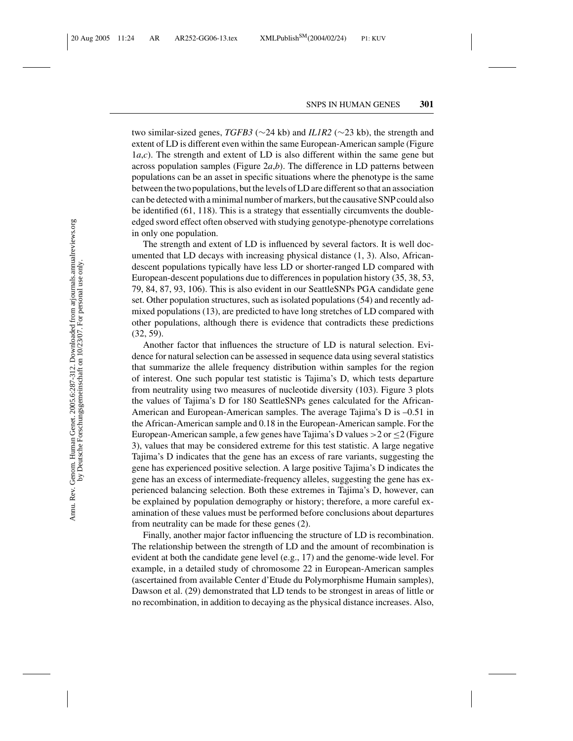two similar-sized genes, *TGFB3* (∼24 kb) and *IL1R2* (∼23 kb), the strength and extent of LD is different even within the same European-American sample (Figure 1*a*,*c*). The strength and extent of LD is also different within the same gene but across population samples (Figure 2*a*,*b*). The difference in LD patterns between populations can be an asset in specific situations where the phenotype is the same between the two populations, but the levels of LD are different so that an association can be detected with a minimal number of markers, but the causative SNP could also be identified (61, 118). This is a strategy that essentially circumvents the doubleedged sword effect often observed with studying genotype-phenotype correlations in only one population.

The strength and extent of LD is influenced by several factors. It is well documented that LD decays with increasing physical distance (1, 3). Also, Africandescent populations typically have less LD or shorter-ranged LD compared with European-descent populations due to differences in population history (35, 38, 53, 79, 84, 87, 93, 106). This is also evident in our SeattleSNPs PGA candidate gene set. Other population structures, such as isolated populations (54) and recently admixed populations (13), are predicted to have long stretches of LD compared with other populations, although there is evidence that contradicts these predictions (32, 59).

Another factor that influences the structure of LD is natural selection. Evidence for natural selection can be assessed in sequence data using several statistics that summarize the allele frequency distribution within samples for the region of interest. One such popular test statistic is Tajima's D, which tests departure from neutrality using two measures of nucleotide diversity (103). Figure 3 plots the values of Tajima's D for 180 SeattleSNPs genes calculated for the African-American and European-American samples. The average Tajima's D is –0.51 in the African-American sample and 0.18 in the European-American sample. For the European-American sample, a few genes have Tajima's D values  $>2$  or  $\leq$  2 (Figure 3), values that may be considered extreme for this test statistic. A large negative Tajima's D indicates that the gene has an excess of rare variants, suggesting the gene has experienced positive selection. A large positive Tajima's D indicates the gene has an excess of intermediate-frequency alleles, suggesting the gene has experienced balancing selection. Both these extremes in Tajima's D, however, can be explained by population demography or history; therefore, a more careful examination of these values must be performed before conclusions about departures from neutrality can be made for these genes (2).

Finally, another major factor influencing the structure of LD is recombination. The relationship between the strength of LD and the amount of recombination is evident at both the candidate gene level (e.g., 17) and the genome-wide level. For example, in a detailed study of chromosome 22 in European-American samples (ascertained from available Center d'Etude du Polymorphisme Humain samples), Dawson et al. (29) demonstrated that LD tends to be strongest in areas of little or no recombination, in addition to decaying as the physical distance increases. Also,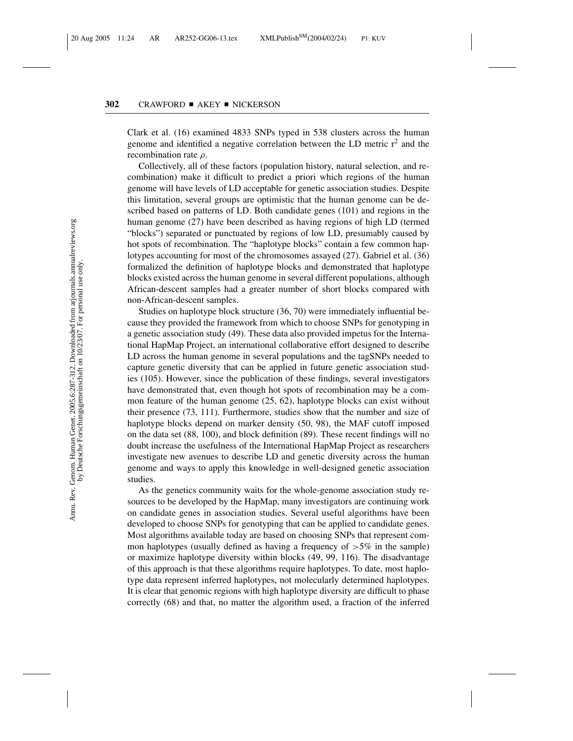Clark et al. (16) examined 4833 SNPs typed in 538 clusters across the human genome and identified a negative correlation between the LD metric  $r^2$  and the recombination rate  $\rho$ .

Collectively, all of these factors (population history, natural selection, and recombination) make it difficult to predict a priori which regions of the human genome will have levels of LD acceptable for genetic association studies. Despite this limitation, several groups are optimistic that the human genome can be described based on patterns of LD. Both candidate genes (101) and regions in the human genome (27) have been described as having regions of high LD (termed "blocks") separated or punctuated by regions of low LD, presumably caused by hot spots of recombination. The "haplotype blocks" contain a few common haplotypes accounting for most of the chromosomes assayed (27). Gabriel et al. (36) formalized the definition of haplotype blocks and demonstrated that haplotype blocks existed across the human genome in several different populations, although African-descent samples had a greater number of short blocks compared with non-African-descent samples.

Studies on haplotype block structure (36, 70) were immediately influential because they provided the framework from which to choose SNPs for genotyping in a genetic association study (49). These data also provided impetus for the International HapMap Project, an international collaborative effort designed to describe LD across the human genome in several populations and the tagSNPs needed to capture genetic diversity that can be applied in future genetic association studies (105). However, since the publication of these findings, several investigators have demonstrated that, even though hot spots of recombination may be a common feature of the human genome (25, 62), haplotype blocks can exist without their presence (73, 111). Furthermore, studies show that the number and size of haplotype blocks depend on marker density (50, 98), the MAF cutoff imposed on the data set (88, 100), and block definition (89). These recent findings will no doubt increase the usefulness of the International HapMap Project as researchers investigate new avenues to describe LD and genetic diversity across the human genome and ways to apply this knowledge in well-designed genetic association studies.

As the genetics community waits for the whole-genome association study resources to be developed by the HapMap, many investigators are continuing work on candidate genes in association studies. Several useful algorithms have been developed to choose SNPs for genotyping that can be applied to candidate genes. Most algorithms available today are based on choosing SNPs that represent common haplotypes (usually defined as having a frequency of  $>5\%$  in the sample) or maximize haplotype diversity within blocks (49, 99, 116). The disadvantage of this approach is that these algorithms require haplotypes. To date, most haplotype data represent inferred haplotypes, not molecularly determined haplotypes. It is clear that genomic regions with high haplotype diversity are difficult to phase correctly (68) and that, no matter the algorithm used, a fraction of the inferred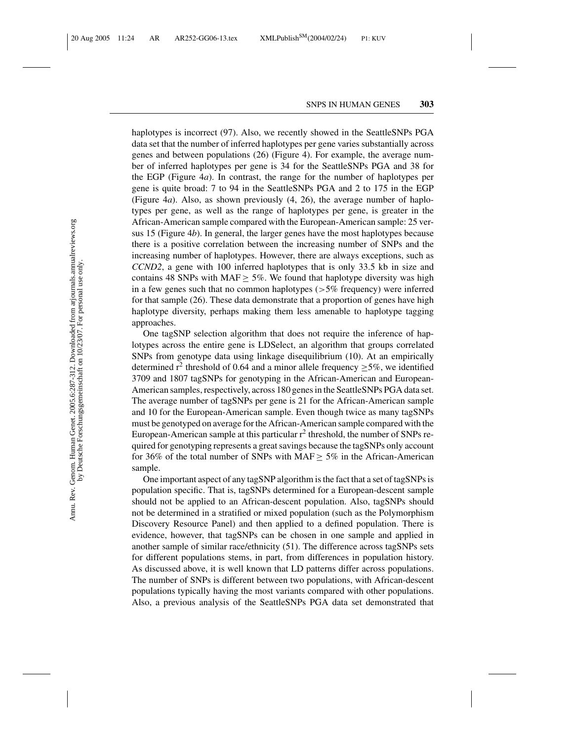haplotypes is incorrect (97). Also, we recently showed in the SeattleSNPs PGA data set that the number of inferred haplotypes per gene varies substantially across genes and between populations (26) (Figure 4). For example, the average number of inferred haplotypes per gene is 34 for the SeattleSNPs PGA and 38 for the EGP (Figure 4*a*). In contrast, the range for the number of haplotypes per gene is quite broad: 7 to 94 in the SeattleSNPs PGA and 2 to 175 in the EGP (Figure 4*a*). Also, as shown previously (4, 26), the average number of haplotypes per gene, as well as the range of haplotypes per gene, is greater in the African-American sample compared with the European-American sample: 25 versus 15 (Figure 4*b*). In general, the larger genes have the most haplotypes because there is a positive correlation between the increasing number of SNPs and the increasing number of haplotypes. However, there are always exceptions, such as *CCND2*, a gene with 100 inferred haplotypes that is only 33.5 kb in size and contains 48 SNPs with MAF  $\geq$  5%. We found that haplotype diversity was high in a few genes such that no common haplotypes ( $>5\%$  frequency) were inferred for that sample (26). These data demonstrate that a proportion of genes have high haplotype diversity, perhaps making them less amenable to haplotype tagging approaches.

One tagSNP selection algorithm that does not require the inference of haplotypes across the entire gene is LDSelect, an algorithm that groups correlated SNPs from genotype data using linkage disequilibrium (10). At an empirically determined r<sup>2</sup> threshold of 0.64 and a minor allele frequency  $\geq$  5%, we identified 3709 and 1807 tagSNPs for genotyping in the African-American and European-American samples, respectively, across 180 genes in the SeattleSNPs PGA data set. The average number of tagSNPs per gene is 21 for the African-American sample and 10 for the European-American sample. Even though twice as many tagSNPs must be genotyped on average for the African-American sample compared with the European-American sample at this particular  $r^2$  threshold, the number of SNPs required for genotyping represents a great savings because the tagSNPs only account for 36% of the total number of SNPs with  $MAF \geq 5\%$  in the African-American sample.

One important aspect of any tagSNP algorithm is the fact that a set of tagSNPs is population specific. That is, tagSNPs determined for a European-descent sample should not be applied to an African-descent population. Also, tagSNPs should not be determined in a stratified or mixed population (such as the Polymorphism Discovery Resource Panel) and then applied to a defined population. There is evidence, however, that tagSNPs can be chosen in one sample and applied in another sample of similar race/ethnicity (51). The difference across tagSNPs sets for different populations stems, in part, from differences in population history. As discussed above, it is well known that LD patterns differ across populations. The number of SNPs is different between two populations, with African-descent populations typically having the most variants compared with other populations. Also, a previous analysis of the SeattleSNPs PGA data set demonstrated that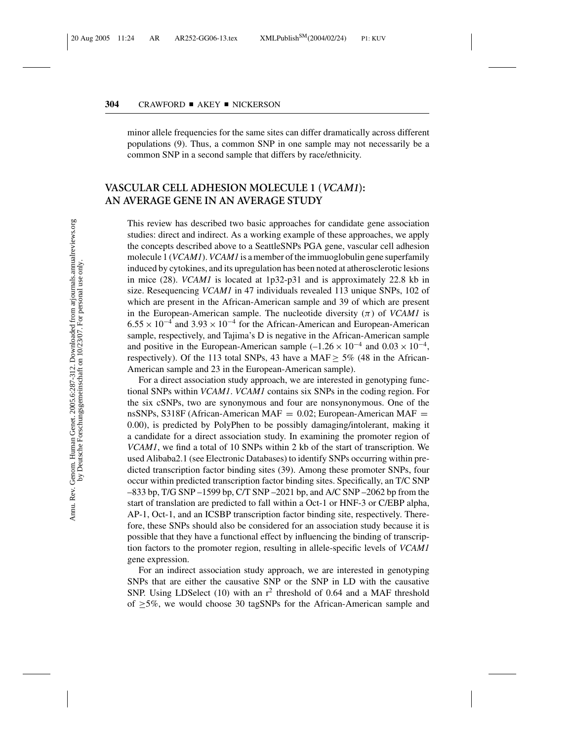minor allele frequencies for the same sites can differ dramatically across different populations (9). Thus, a common SNP in one sample may not necessarily be a common SNP in a second sample that differs by race/ethnicity.

### **VASCULAR CELL ADHESION MOLECULE 1 (***VCAM1***): AN AVERAGE GENE IN AN AVERAGE STUDY**

This review has described two basic approaches for candidate gene association studies: direct and indirect. As a working example of these approaches, we apply the concepts described above to a SeattleSNPs PGA gene, vascular cell adhesion molecule 1 (*VCAM1*).*VCAM1* is a member of the immuoglobulin gene superfamily induced by cytokines, and its upregulation has been noted at atherosclerotic lesions in mice (28). *VCAM1* is located at 1p32-p31 and is approximately 22.8 kb in size. Resequencing *VCAM1* in 47 individuals revealed 113 unique SNPs, 102 of which are present in the African-American sample and 39 of which are present in the European-American sample. The nucleotide diversity  $(\pi)$  of *VCAM1* is  $6.55 \times 10^{-4}$  and  $3.93 \times 10^{-4}$  for the African-American and European-American sample, respectively, and Tajima's D is negative in the African-American sample and positive in the European-American sample  $(-1.26 \times 10^{-4}$  and  $0.03 \times 10^{-4}$ , respectively). Of the 113 total SNPs, 43 have a MAF  $\geq$  5% (48 in the African-American sample and 23 in the European-American sample).

For a direct association study approach, we are interested in genotyping functional SNPs within *VCAM1*. *VCAM1* contains six SNPs in the coding region. For the six cSNPs, two are synonymous and four are nonsynonymous. One of the nsSNPs, S318F (African-American MAF  $= 0.02$ ; European-American MAF  $=$ 0.00), is predicted by PolyPhen to be possibly damaging/intolerant, making it a candidate for a direct association study. In examining the promoter region of *VCAM1*, we find a total of 10 SNPs within 2 kb of the start of transcription. We used Alibaba2.1 (see Electronic Databases) to identify SNPs occurring within predicted transcription factor binding sites (39). Among these promoter SNPs, four occur within predicted transcription factor binding sites. Specifically, an T/C SNP –833 bp, T/G SNP –1599 bp, C/T SNP –2021 bp, and A/C SNP –2062 bp from the start of translation are predicted to fall within a Oct-1 or HNF-3 or C/EBP alpha, AP-1, Oct-1, and an ICSBP transcription factor binding site, respectively. Therefore, these SNPs should also be considered for an association study because it is possible that they have a functional effect by influencing the binding of transcription factors to the promoter region, resulting in allele-specific levels of *VCAM1* gene expression.

For an indirect association study approach, we are interested in genotyping SNPs that are either the causative SNP or the SNP in LD with the causative SNP. Using LDSelect (10) with an  $r^2$  threshold of 0.64 and a MAF threshold of  $\geq$ 5%, we would choose 30 tagSNPs for the African-American sample and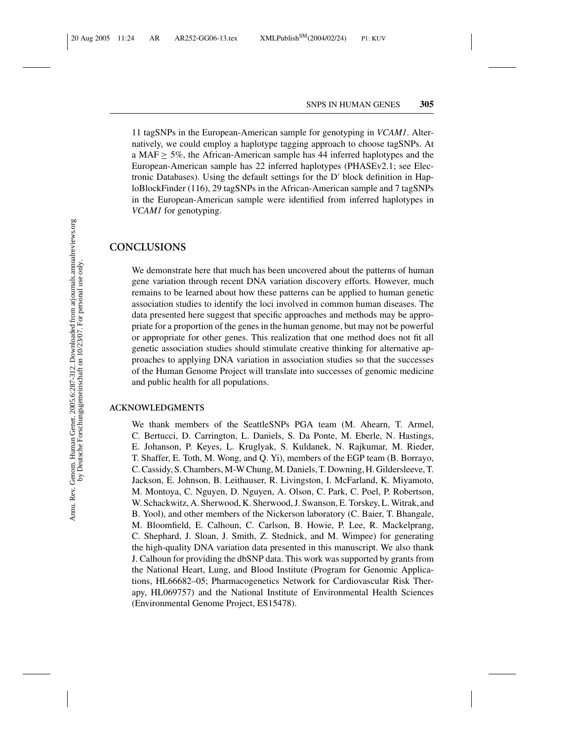11 tagSNPs in the European-American sample for genotyping in *VCAM1*. Alternatively, we could employ a haplotype tagging approach to choose tagSNPs. At a MAF  $\geq$  5%, the African-American sample has 44 inferred haplotypes and the European-American sample has 22 inferred haplotypes (PHASEv2.1; see Electronic Databases). Using the default settings for the  $D'$  block definition in HaploBlockFinder (116), 29 tagSNPs in the African-American sample and 7 tagSNPs in the European-American sample were identified from inferred haplotypes in *VCAM1* for genotyping.

#### **CONCLUSIONS**

We demonstrate here that much has been uncovered about the patterns of human gene variation through recent DNA variation discovery efforts. However, much remains to be learned about how these patterns can be applied to human genetic association studies to identify the loci involved in common human diseases. The data presented here suggest that specific approaches and methods may be appropriate for a proportion of the genes in the human genome, but may not be powerful or appropriate for other genes. This realization that one method does not fit all genetic association studies should stimulate creative thinking for alternative approaches to applying DNA variation in association studies so that the successes of the Human Genome Project will translate into successes of genomic medicine and public health for all populations.

#### **ACKNOWLEDGMENTS**

We thank members of the SeattleSNPs PGA team (M. Ahearn, T. Armel, C. Bertucci, D. Carrington, L. Daniels, S. Da Ponte, M. Eberle, N. Hastings, E. Johanson, P. Keyes, L. Kruglyak, S. Kuldanek, N. Rajkumar, M. Rieder, T. Shaffer, E. Toth, M. Wong, and Q. Yi), members of the EGP team (B. Borrayo, C. Cassidy, S. Chambers, M-W Chung, M. Daniels, T. Downing, H. Gildersleeve, T. Jackson, E. Johnson, B. Leithauser, R. Livingston, I. McFarland, K. Miyamoto, M. Montoya, C. Nguyen, D. Nguyen, A. Olson, C. Park, C. Poel, P. Robertson, W. Schackwitz, A. Sherwood, K. Sherwood, J. Swanson, E. Torskey, L. Witrak, and B. Yool), and other members of the Nickerson laboratory (C. Baier, T. Bhangale, M. Bloomfield, E. Calhoun, C. Carlson, B. Howie, P. Lee, R. Mackelprang, C. Shephard, J. Sloan, J. Smith, Z. Stednick, and M. Wimpee) for generating the high-quality DNA variation data presented in this manuscript. We also thank J. Calhoun for providing the dbSNP data. This work was supported by grants from the National Heart, Lung, and Blood Institute (Program for Genomic Applications, HL66682–05; Pharmacogenetics Network for Cardiovascular Risk Therapy, HL069757) and the National Institute of Environmental Health Sciences (Environmental Genome Project, ES15478).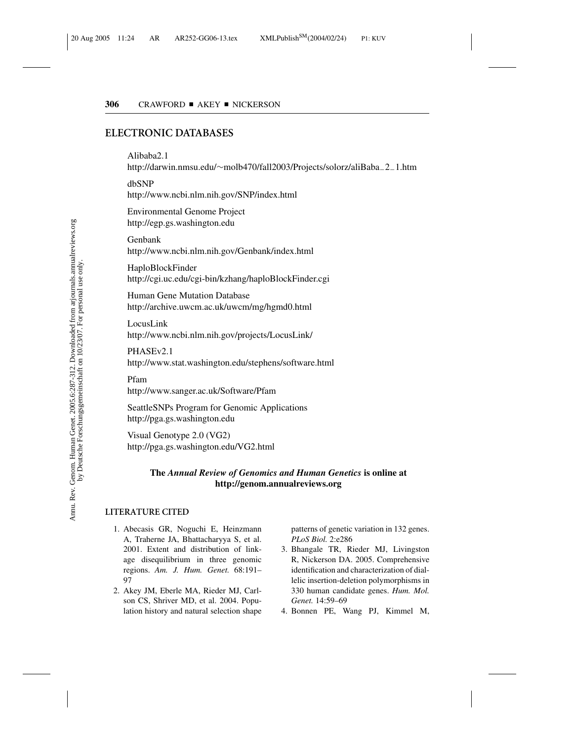### **ELECTRONIC DATABASES**

#### Alibaba2.1

http://darwin.nmsu.edu/∼molb470/fall2003/Projects/solorz/aliBaba−2−1.htm

dbSNP http://www.ncbi.nlm.nih.gov/SNP/index.html

Environmental Genome Project http://egp.gs.washington.edu

Genbank http://www.ncbi.nlm.nih.gov/Genbank/index.html

HaploBlockFinder http://cgi.uc.edu/cgi-bin/kzhang/haploBlockFinder.cgi

Human Gene Mutation Database http://archive.uwcm.ac.uk/uwcm/mg/hgmd0.html

LocusLink http://www.ncbi.nlm.nih.gov/projects/LocusLink/

PHASEv2.1 http://www.stat.washington.edu/stephens/software.html

Pfam

http://www.sanger.ac.uk/Software/Pfam

SeattleSNPs Program for Genomic Applications http://pga.gs.washington.edu

Visual Genotype 2.0 (VG2) http://pga.gs.washington.edu/VG2.html

#### **The** *Annual Review of Genomics and Human Genetics* **is online at http://genom.annualreviews.org**

#### **LITERATURE CITED**

- 1. Abecasis GR, Noguchi E, Heinzmann A, Traherne JA, Bhattacharyya S, et al. 2001. Extent and distribution of linkage disequilibrium in three genomic regions. *Am. J. Hum. Genet.* 68:191– 97
- 2. Akey JM, Eberle MA, Rieder MJ, Carlson CS, Shriver MD, et al. 2004. Population history and natural selection shape

patterns of genetic variation in 132 genes. *PLoS Biol.* 2:e286

- 3. Bhangale TR, Rieder MJ, Livingston R, Nickerson DA. 2005. Comprehensive identification and characterization of diallelic insertion-deletion polymorphisms in 330 human candidate genes. *Hum. Mol. Genet.* 14:59–69
- 4. Bonnen PE, Wang PJ, Kimmel M,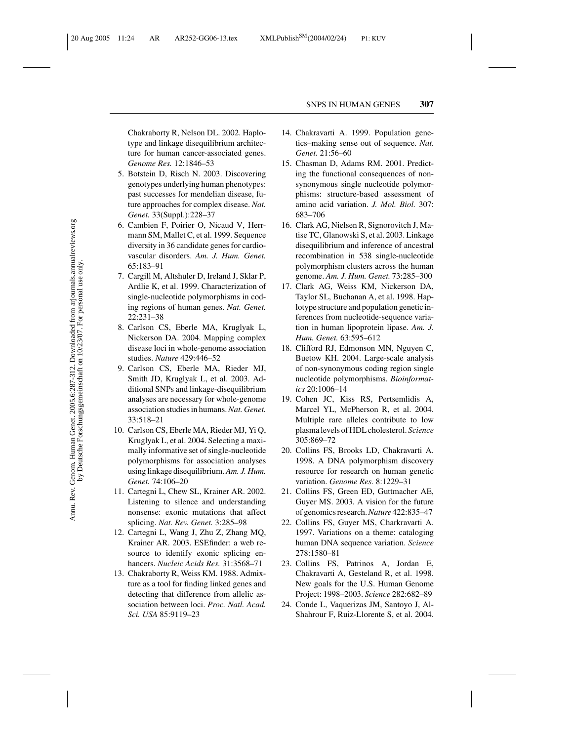Chakraborty R, Nelson DL. 2002. Haplotype and linkage disequilibrium architecture for human cancer-associated genes. *Genome Res.* 12:1846–53

- 5. Botstein D, Risch N. 2003. Discovering genotypes underlying human phenotypes: past successes for mendelian disease, future approaches for complex disease. *Nat. Genet.* 33(Suppl.):228–37
- 6. Cambien F, Poirier O, Nicaud V, Herrmann SM, Mallet C, et al. 1999. Sequence diversity in 36 candidate genes for cardiovascular disorders. *Am. J. Hum. Genet.* 65:183–91
- 7. Cargill M, Altshuler D, Ireland J, Sklar P, Ardlie K, et al. 1999. Characterization of single-nucleotide polymorphisms in coding regions of human genes. *Nat. Genet.* 22:231–38
- 8. Carlson CS, Eberle MA, Kruglyak L, Nickerson DA. 2004. Mapping complex disease loci in whole-genome association studies. *Nature* 429:446–52
- 9. Carlson CS, Eberle MA, Rieder MJ, Smith JD, Kruglyak L, et al. 2003. Additional SNPs and linkage-disequilibrium analyses are necessary for whole-genome association studies in humans.*Nat. Genet.* 33:518–21
- 10. Carlson CS, Eberle MA, Rieder MJ, Yi Q, Kruglyak L, et al. 2004. Selecting a maximally informative set of single-nucleotide polymorphisms for association analyses using linkage disequilibrium. *Am. J. Hum. Genet.* 74:106–20
- 11. Cartegni L, Chew SL, Krainer AR. 2002. Listening to silence and understanding nonsense: exonic mutations that affect splicing. *Nat. Rev. Genet.* 3:285–98
- 12. Cartegni L, Wang J, Zhu Z, Zhang MQ, Krainer AR. 2003. ESEfinder: a web resource to identify exonic splicing enhancers. *Nucleic Acids Res.* 31:3568–71
- 13. Chakraborty R, Weiss KM. 1988. Admixture as a tool for finding linked genes and detecting that difference from allelic association between loci. *Proc. Natl. Acad. Sci. USA* 85:9119–23
- 14. Chakravarti A. 1999. Population genetics–making sense out of sequence. *Nat. Genet.* 21:56–60
- 15. Chasman D, Adams RM. 2001. Predicting the functional consequences of nonsynonymous single nucleotide polymorphisms: structure-based assessment of amino acid variation. *J. Mol. Biol.* 307: 683–706
- 16. Clark AG, Nielsen R, Signorovitch J, Matise TC, Glanowski S, et al. 2003. Linkage disequilibrium and inference of ancestral recombination in 538 single-nucleotide polymorphism clusters across the human genome. *Am. J. Hum. Genet.* 73:285–300
- 17. Clark AG, Weiss KM, Nickerson DA, Taylor SL, Buchanan A, et al. 1998. Haplotype structure and population genetic inferences from nucleotide-sequence variation in human lipoprotein lipase. *Am. J. Hum. Genet.* 63:595–612
- 18. Clifford RJ, Edmonson MN, Nguyen C, Buetow KH. 2004. Large-scale analysis of non-synonymous coding region single nucleotide polymorphisms. *Bioinformatics* 20:1006–14
- 19. Cohen JC, Kiss RS, Pertsemlidis A, Marcel YL, McPherson R, et al. 2004. Multiple rare alleles contribute to low plasma levels of HDL cholesterol. *Science* 305:869–72
- 20. Collins FS, Brooks LD, Chakravarti A. 1998. A DNA polymorphism discovery resource for research on human genetic variation. *Genome Res.* 8:1229–31
- 21. Collins FS, Green ED, Guttmacher AE, Guyer MS. 2003. A vision for the future of genomics research.*Nature* 422:835–47
- 22. Collins FS, Guyer MS, Charkravarti A. 1997. Variations on a theme: cataloging human DNA sequence variation. *Science* 278:1580–81
- 23. Collins FS, Patrinos A, Jordan E, Chakravarti A, Gesteland R, et al. 1998. New goals for the U.S. Human Genome Project: 1998–2003. *Science* 282:682–89
- 24. Conde L, Vaquerizas JM, Santoyo J, Al-Shahrour F, Ruiz-Llorente S, et al. 2004.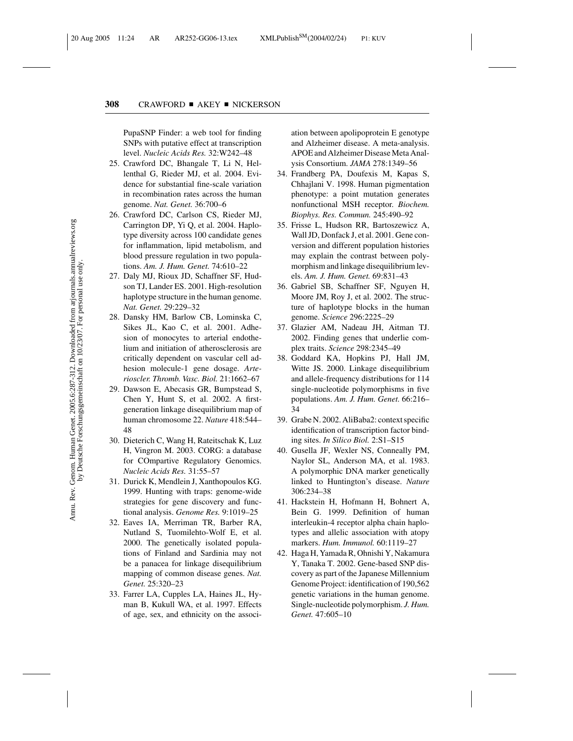PupaSNP Finder: a web tool for finding SNPs with putative effect at transcription level. *Nucleic Acids Res.* 32:W242–48

- 25. Crawford DC, Bhangale T, Li N, Hellenthal G, Rieder MJ, et al. 2004. Evidence for substantial fine-scale variation in recombination rates across the human genome. *Nat. Genet.* 36:700–6
- 26. Crawford DC, Carlson CS, Rieder MJ, Carrington DP, Yi Q, et al. 2004. Haplotype diversity across 100 candidate genes for inflammation, lipid metabolism, and blood pressure regulation in two populations. *Am. J. Hum. Genet.* 74:610–22
- 27. Daly MJ, Rioux JD, Schaffner SF, Hudson TJ, Lander ES. 2001. High-resolution haplotype structure in the human genome. *Nat. Genet.* 29:229–32
- 28. Dansky HM, Barlow CB, Lominska C, Sikes JL, Kao C, et al. 2001. Adhesion of monocytes to arterial endothelium and initiation of atherosclerosis are critically dependent on vascular cell adhesion molecule-1 gene dosage. *Arterioscler. Thromb. Vasc. Biol.* 21:1662–67
- 29. Dawson E, Abecasis GR, Bumpstead S, Chen Y, Hunt S, et al. 2002. A firstgeneration linkage disequilibrium map of human chromosome 22. *Nature* 418:544– 48
- 30. Dieterich C, Wang H, Rateitschak K, Luz H, Vingron M. 2003. CORG: a database for COmpartive Regulatory Genomics. *Nucleic Acids Res.* 31:55–57
- 31. Durick K, Mendlein J, Xanthopoulos KG. 1999. Hunting with traps: genome-wide strategies for gene discovery and functional analysis. *Genome Res.* 9:1019–25
- 32. Eaves IA, Merriman TR, Barber RA, Nutland S, Tuomilehto-Wolf E, et al. 2000. The genetically isolated populations of Finland and Sardinia may not be a panacea for linkage disequilibrium mapping of common disease genes. *Nat. Genet.* 25:320–23
- 33. Farrer LA, Cupples LA, Haines JL, Hyman B, Kukull WA, et al. 1997. Effects of age, sex, and ethnicity on the associ-

ation between apolipoprotein E genotype and Alzheimer disease. A meta-analysis. APOE and Alzheimer Disease Meta Analysis Consortium. *JAMA* 278:1349–56

- 34. Frandberg PA, Doufexis M, Kapas S, Chhajlani V. 1998. Human pigmentation phenotype: a point mutation generates nonfunctional MSH receptor. *Biochem. Biophys. Res. Commun.* 245:490–92
- 35. Frisse L, Hudson RR, Bartoszewicz A, Wall JD, Donfack J, et al. 2001. Gene conversion and different population histories may explain the contrast between polymorphism and linkage disequilibrium levels. *Am. J. Hum. Genet.* 69:831–43
- 36. Gabriel SB, Schaffner SF, Nguyen H, Moore JM, Roy J, et al. 2002. The structure of haplotype blocks in the human genome. *Science* 296:2225–29
- 37. Glazier AM, Nadeau JH, Aitman TJ. 2002. Finding genes that underlie complex traits. *Science* 298:2345–49
- 38. Goddard KA, Hopkins PJ, Hall JM, Witte JS. 2000. Linkage disequilibrium and allele-frequency distributions for 114 single-nucleotide polymorphisms in five populations. *Am. J. Hum. Genet.* 66:216– 34
- 39. Grabe N. 2002. AliBaba2: context specific identification of transcription factor binding sites. *In Silico Biol.* 2:S1–S15
- 40. Gusella JF, Wexler NS, Conneally PM, Naylor SL, Anderson MA, et al. 1983. A polymorphic DNA marker genetically linked to Huntington's disease. *Nature* 306:234–38
- 41. Hackstein H, Hofmann H, Bohnert A, Bein G. 1999. Definition of human interleukin-4 receptor alpha chain haplotypes and allelic association with atopy markers. *Hum. Immunol.* 60:1119–27
- 42. Haga H, Yamada R, Ohnishi Y, Nakamura Y, Tanaka T. 2002. Gene-based SNP discovery as part of the Japanese Millennium Genome Project: identification of 190,562 genetic variations in the human genome. Single-nucleotide polymorphism. *J. Hum. Genet.* 47:605–10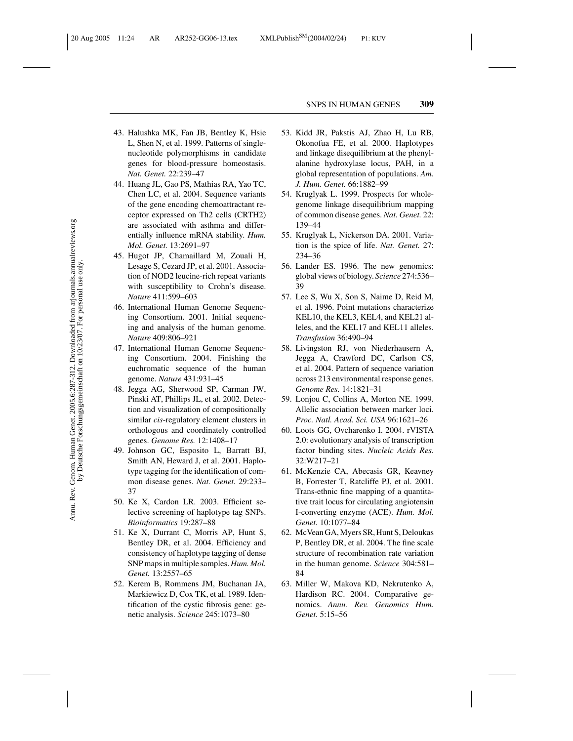- 43. Halushka MK, Fan JB, Bentley K, Hsie L, Shen N, et al. 1999. Patterns of singlenucleotide polymorphisms in candidate genes for blood-pressure homeostasis. *Nat. Genet.* 22:239–47
- 44. Huang JL, Gao PS, Mathias RA, Yao TC, Chen LC, et al. 2004. Sequence variants of the gene encoding chemoattractant receptor expressed on Th2 cells (CRTH2) are associated with asthma and differentially influence mRNA stability. *Hum. Mol. Genet.* 13:2691–97
- 45. Hugot JP, Chamaillard M, Zouali H, Lesage S, Cezard JP, et al. 2001. Association of NOD2 leucine-rich repeat variants with susceptibility to Crohn's disease. *Nature* 411:599–603
- 46. International Human Genome Sequencing Consortium. 2001. Initial sequencing and analysis of the human genome. *Nature* 409:806–921
- 47. International Human Genome Sequencing Consortium. 2004. Finishing the euchromatic sequence of the human genome. *Nature* 431:931–45
- 48. Jegga AG, Sherwood SP, Carman JW, Pinski AT, Phillips JL, et al. 2002. Detection and visualization of compositionally similar *cis*-regulatory element clusters in orthologous and coordinately controlled genes. *Genome Res.* 12:1408–17
- 49. Johnson GC, Esposito L, Barratt BJ, Smith AN, Heward J, et al. 2001. Haplotype tagging for the identification of common disease genes. *Nat. Genet.* 29:233– 37
- 50. Ke X, Cardon LR. 2003. Efficient selective screening of haplotype tag SNPs. *Bioinformatics* 19:287–88
- 51. Ke X, Durrant C, Morris AP, Hunt S, Bentley DR, et al. 2004. Efficiency and consistency of haplotype tagging of dense SNP maps in multiple samples. *Hum. Mol. Genet.* 13:2557–65
- 52. Kerem B, Rommens JM, Buchanan JA, Markiewicz D, Cox TK, et al. 1989. Identification of the cystic fibrosis gene: genetic analysis. *Science* 245:1073–80
- 53. Kidd JR, Pakstis AJ, Zhao H, Lu RB, Okonofua FE, et al. 2000. Haplotypes and linkage disequilibrium at the phenylalanine hydroxylase locus, PAH, in a global representation of populations. *Am. J. Hum. Genet.* 66:1882–99
- 54. Kruglyak L. 1999. Prospects for wholegenome linkage disequilibrium mapping of common disease genes. *Nat. Genet.* 22: 139–44
- 55. Kruglyak L, Nickerson DA. 2001. Variation is the spice of life. *Nat. Genet.* 27: 234–36
- 56. Lander ES. 1996. The new genomics: global views of biology. *Science* 274:536– 39
- 57. Lee S, Wu X, Son S, Naime D, Reid M, et al. 1996. Point mutations characterize KEL10, the KEL3, KEL4, and KEL21 alleles, and the KEL17 and KEL11 alleles. *Transfusion* 36:490–94
- 58. Livingston RJ, von Niederhausern A, Jegga A, Crawford DC, Carlson CS, et al. 2004. Pattern of sequence variation across 213 environmental response genes. *Genome Res.* 14:1821–31
- 59. Lonjou C, Collins A, Morton NE. 1999. Allelic association between marker loci. *Proc. Natl. Acad. Sci. USA* 96:1621–26
- 60. Loots GG, Ovcharenko I. 2004. rVISTA 2.0: evolutionary analysis of transcription factor binding sites. *Nucleic Acids Res.* 32:W217–21
- 61. McKenzie CA, Abecasis GR, Keavney B, Forrester T, Ratcliffe PJ, et al. 2001. Trans-ethnic fine mapping of a quantitative trait locus for circulating angiotensin I-converting enzyme (ACE). *Hum. Mol. Genet.* 10:1077–84
- 62. McVean GA, Myers SR, Hunt S, Deloukas P, Bentley DR, et al. 2004. The fine scale structure of recombination rate variation in the human genome. *Science* 304:581– 84
- 63. Miller W, Makova KD, Nekrutenko A, Hardison RC. 2004. Comparative genomics. *Annu. Rev. Genomics Hum. Genet.* 5:15–56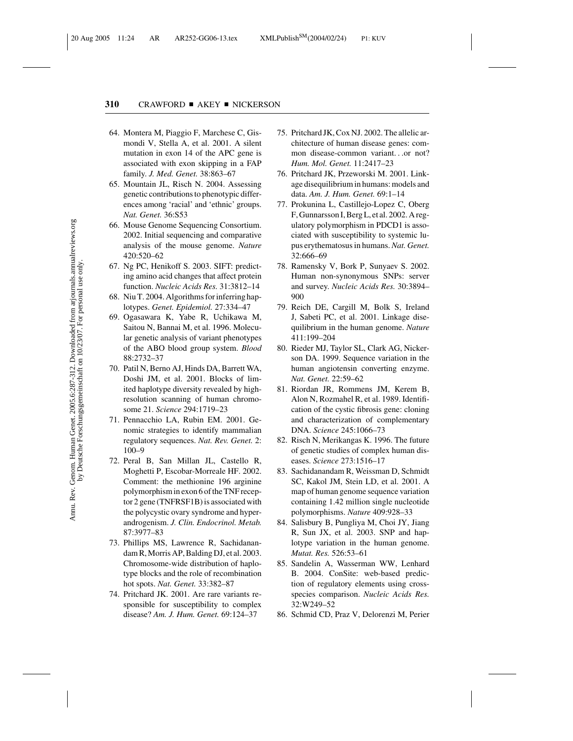- 64. Montera M, Piaggio F, Marchese C, Gismondi V, Stella A, et al. 2001. A silent mutation in exon 14 of the APC gene is associated with exon skipping in a FAP family. *J. Med. Genet.* 38:863–67
- 65. Mountain JL, Risch N. 2004. Assessing genetic contributions to phenotypic differences among 'racial' and 'ethnic' groups. *Nat. Genet.* 36:S53
- 66. Mouse Genome Sequencing Consortium. 2002. Initial sequencing and comparative analysis of the mouse genome. *Nature* 420:520–62
- 67. Ng PC, Henikoff S. 2003. SIFT: predicting amino acid changes that affect protein function. *Nucleic Acids Res.* 31:3812–14
- 68. Niu T. 2004. Algorithms for inferring haplotypes. *Genet. Epidemiol.* 27:334–47
- 69. Ogasawara K, Yabe R, Uchikawa M, Saitou N, Bannai M, et al. 1996. Molecular genetic analysis of variant phenotypes of the ABO blood group system. *Blood* 88:2732–37
- 70. Patil N, Berno AJ, Hinds DA, Barrett WA, Doshi JM, et al. 2001. Blocks of limited haplotype diversity revealed by highresolution scanning of human chromosome 21. *Science* 294:1719–23
- 71. Pennacchio LA, Rubin EM. 2001. Genomic strategies to identify mammalian regulatory sequences. *Nat. Rev. Genet.* 2: 100–9
- 72. Peral B, San Millan JL, Castello R, Moghetti P, Escobar-Morreale HF. 2002. Comment: the methionine 196 arginine polymorphism in exon 6 of the TNF receptor 2 gene (TNFRSF1B) is associated with the polycystic ovary syndrome and hyperandrogenism. *J. Clin. Endocrinol. Metab.* 87:3977–83
- 73. Phillips MS, Lawrence R, Sachidanandam R, Morris AP, Balding DJ, et al. 2003. Chromosome-wide distribution of haplotype blocks and the role of recombination hot spots. *Nat. Genet.* 33:382–87
- 74. Pritchard JK. 2001. Are rare variants responsible for susceptibility to complex disease? *Am. J. Hum. Genet.* 69:124–37
- 75. Pritchard JK, Cox NJ. 2002. The allelic architecture of human disease genes: common disease-common variant...or not? *Hum. Mol. Genet.* 11:2417–23
- 76. Pritchard JK, Przeworski M. 2001. Linkage disequilibrium in humans: models and data. *Am. J. Hum. Genet.* 69:1–14
- 77. Prokunina L, Castillejo-Lopez C, Oberg F, Gunnarsson I, Berg L, et al. 2002. A regulatory polymorphism in PDCD1 is associated with susceptibility to systemic lupus erythematosus in humans.*Nat. Genet.* 32:666–69
- 78. Ramensky V, Bork P, Sunyaev S. 2002. Human non-synonymous SNPs: server and survey. *Nucleic Acids Res.* 30:3894– 900
- 79. Reich DE, Cargill M, Bolk S, Ireland J, Sabeti PC, et al. 2001. Linkage disequilibrium in the human genome. *Nature* 411:199–204
- 80. Rieder MJ, Taylor SL, Clark AG, Nickerson DA. 1999. Sequence variation in the human angiotensin converting enzyme. *Nat. Genet.* 22:59–62
- 81. Riordan JR, Rommens JM, Kerem B, Alon N, Rozmahel R, et al. 1989. Identification of the cystic fibrosis gene: cloning and characterization of complementary DNA. *Science* 245:1066–73
- 82. Risch N, Merikangas K. 1996. The future of genetic studies of complex human diseases. *Science* 273:1516–17
- 83. Sachidanandam R, Weissman D, Schmidt SC, Kakol JM, Stein LD, et al. 2001. A map of human genome sequence variation containing 1.42 million single nucleotide polymorphisms. *Nature* 409:928–33
- 84. Salisbury B, Pungliya M, Choi JY, Jiang R, Sun JX, et al. 2003. SNP and haplotype variation in the human genome. *Mutat. Res.* 526:53–61
- 85. Sandelin A, Wasserman WW, Lenhard B. 2004. ConSite: web-based prediction of regulatory elements using crossspecies comparison. *Nucleic Acids Res.* 32:W249–52
- 86. Schmid CD, Praz V, Delorenzi M, Perier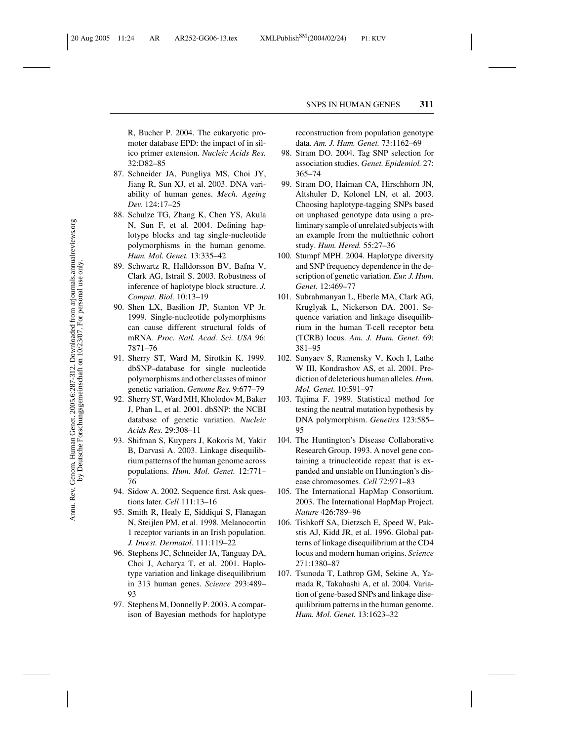R, Bucher P. 2004. The eukaryotic promoter database EPD: the impact of in silico primer extension. *Nucleic Acids Res.* 32:D82–85

- 87. Schneider JA, Pungliya MS, Choi JY, Jiang R, Sun XJ, et al. 2003. DNA variability of human genes. *Mech. Ageing Dev.* 124:17–25
- 88. Schulze TG, Zhang K, Chen YS, Akula N, Sun F, et al. 2004. Defining haplotype blocks and tag single-nucleotide polymorphisms in the human genome. *Hum. Mol. Genet.* 13:335–42
- 89. Schwartz R, Halldorsson BV, Bafna V, Clark AG, Istrail S. 2003. Robustness of inference of haplotype block structure. *J. Comput. Biol.* 10:13–19
- 90. Shen LX, Basilion JP, Stanton VP Jr. 1999. Single-nucleotide polymorphisms can cause different structural folds of mRNA. *Proc. Natl. Acad. Sci. USA* 96: 7871–76
- 91. Sherry ST, Ward M, Sirotkin K. 1999. dbSNP–database for single nucleotide polymorphisms and other classes of minor genetic variation. *Genome Res.* 9:677–79
- 92. Sherry ST, Ward MH, Kholodov M, Baker J, Phan L, et al. 2001. dbSNP: the NCBI database of genetic variation. *Nucleic Acids Res.* 29:308–11
- 93. Shifman S, Kuypers J, Kokoris M, Yakir B, Darvasi A. 2003. Linkage disequilibrium patterns of the human genome across populations. *Hum. Mol. Genet.* 12:771– 76
- 94. Sidow A. 2002. Sequence first. Ask questions later. *Cell* 111:13–16
- 95. Smith R, Healy E, Siddiqui S, Flanagan N, Steijlen PM, et al. 1998. Melanocortin 1 receptor variants in an Irish population. *J. Invest. Dermatol.* 111:119–22
- 96. Stephens JC, Schneider JA, Tanguay DA, Choi J, Acharya T, et al. 2001. Haplotype variation and linkage disequilibrium in 313 human genes. *Science* 293:489– 93
- 97. Stephens M, Donnelly P. 2003. A comparison of Bayesian methods for haplotype

reconstruction from population genotype data. *Am. J. Hum. Genet.* 73:1162–69

- 98. Stram DO. 2004. Tag SNP selection for association studies. *Genet. Epidemiol.* 27: 365–74
- 99. Stram DO, Haiman CA, Hirschhorn JN, Altshuler D, Kolonel LN, et al. 2003. Choosing haplotype-tagging SNPs based on unphased genotype data using a preliminary sample of unrelated subjects with an example from the multiethnic cohort study. *Hum. Hered.* 55:27–36
- 100. Stumpf MPH. 2004. Haplotype diversity and SNP frequency dependence in the description of genetic variation. *Eur. J. Hum. Genet.* 12:469–77
- 101. Subrahmanyan L, Eberle MA, Clark AG, Kruglyak L, Nickerson DA. 2001. Sequence variation and linkage disequilibrium in the human T-cell receptor beta (TCRB) locus. *Am. J. Hum. Genet.* 69: 381–95
- 102. Sunyaev S, Ramensky V, Koch I, Lathe W III, Kondrashov AS, et al. 2001. Prediction of deleterious human alleles. *Hum. Mol. Genet.* 10:591–97
- 103. Tajima F. 1989. Statistical method for testing the neutral mutation hypothesis by DNA polymorphism. *Genetics* 123:585– 95
- 104. The Huntington's Disease Collaborative Research Group. 1993. A novel gene containing a trinucleotide repeat that is expanded and unstable on Huntington's disease chromosomes. *Cell* 72:971–83
- 105. The International HapMap Consortium. 2003. The International HapMap Project. *Nature* 426:789–96
- 106. Tishkoff SA, Dietzsch E, Speed W, Pakstis AJ, Kidd JR, et al. 1996. Global patterns of linkage disequilibrium at the CD4 locus and modern human origins. *Science* 271:1380–87
- 107. Tsunoda T, Lathrop GM, Sekine A, Yamada R, Takahashi A, et al. 2004. Variation of gene-based SNPs and linkage disequilibrium patterns in the human genome. *Hum. Mol. Genet.* 13:1623–32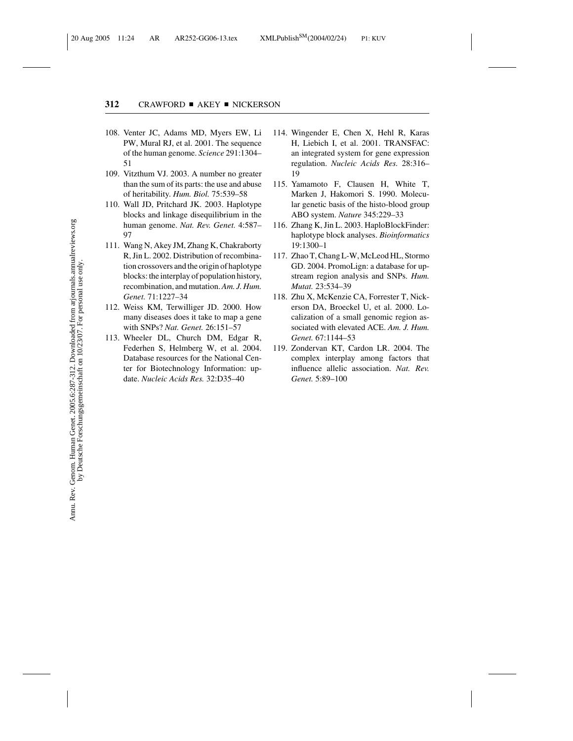- 108. Venter JC, Adams MD, Myers EW, Li PW, Mural RJ, et al. 2001. The sequence of the human genome. *Science* 291:1304– 51
- 109. Vitzthum VJ. 2003. A number no greater than the sum of its parts: the use and abuse of heritability. *Hum. Biol.* 75:539–58
- 110. Wall JD, Pritchard JK. 2003. Haplotype blocks and linkage disequilibrium in the human genome. *Nat. Rev. Genet.* 4:587– 97
- 111. Wang N, Akey JM, Zhang K, Chakraborty R, Jin L. 2002. Distribution of recombination crossovers and the origin of haplotype blocks: the interplay of population history, recombination, and mutation.*Am. J. Hum. Genet.* 71:1227–34
- 112. Weiss KM, Terwilliger JD. 2000. How many diseases does it take to map a gene with SNPs? *Nat. Genet.* 26:151–57
- 113. Wheeler DL, Church DM, Edgar R, Federhen S, Helmberg W, et al. 2004. Database resources for the National Center for Biotechnology Information: update. *Nucleic Acids Res.* 32:D35–40
- 114. Wingender E, Chen X, Hehl R, Karas H, Liebich I, et al. 2001. TRANSFAC: an integrated system for gene expression regulation. *Nucleic Acids Res.* 28:316– 19
- 115. Yamamoto F, Clausen H, White T, Marken J, Hakomori S. 1990. Molecular genetic basis of the histo-blood group ABO system. *Nature* 345:229–33
- 116. Zhang K, Jin L. 2003. HaploBlockFinder: haplotype block analyses. *Bioinformatics* 19:1300–1
- 117. Zhao T, Chang L-W, McLeod HL, Stormo GD. 2004. PromoLign: a database for upstream region analysis and SNPs. *Hum. Mutat.* 23:534–39
- 118. Zhu X, McKenzie CA, Forrester T, Nickerson DA, Broeckel U, et al. 2000. Localization of a small genomic region associated with elevated ACE. *Am. J. Hum. Genet.* 67:1144–53
- 119. Zondervan KT, Cardon LR. 2004. The complex interplay among factors that influence allelic association. *Nat. Rev. Genet.* 5:89–100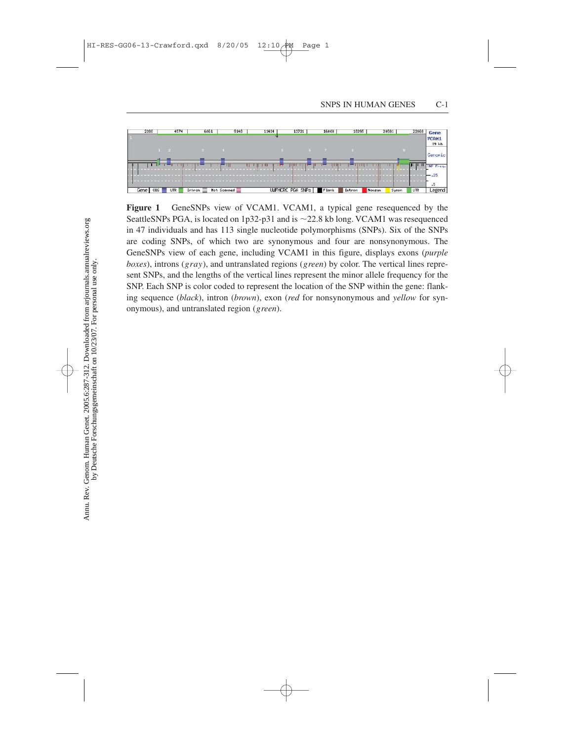

**Figure 1** GeneSNPs view of VCAM1. VCAM1, a typical gene resequenced by the SeattleSNPs PGA, is located on 1p32-p31 and is  $\sim$  22.8 kb long. VCAM1 was resequenced in 47 individuals and has 113 single nucleotide polymorphisms (SNPs). Six of the SNPs are coding SNPs, of which two are synonymous and four are nonsynonymous. The GeneSNPs view of each gene, including VCAM1 in this figure, displays exons (*purple boxes*), introns (*gray*), and untranslated regions (*green*) by color. The vertical lines represent SNPs, and the lengths of the vertical lines represent the minor allele frequency for the SNP. Each SNP is color coded to represent the location of the SNP within the gene: flanking sequence (*black*), intron (*brown*), exon (*red* for nonsynonymous and *yellow* for synonymous), and untranslated region (*green*).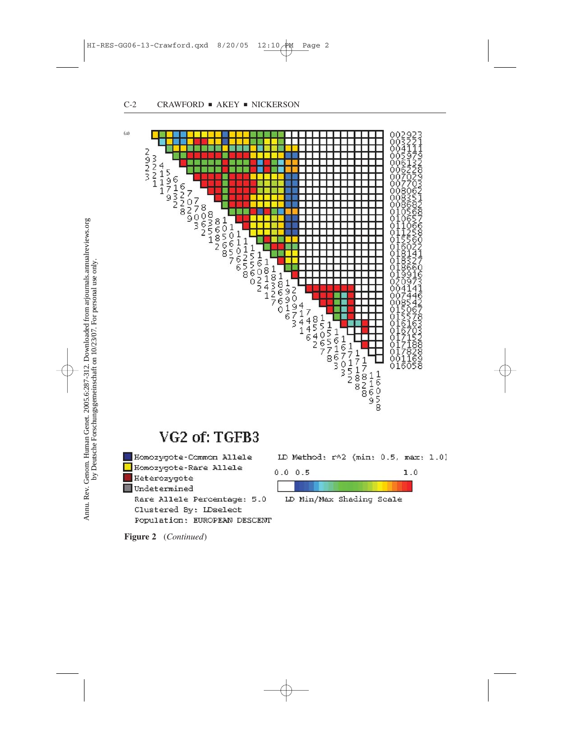

## VG2 of: TGFB3

Homozygote-Common Allele Homozygote-Rare Allele Heterozygote Undetermined Rare Allele Percentage: 5.0 Clustered By: LDselect Population: EUROPEAN DESCENT LD Method: r^2 (min: 0.5, max: 1.0)



**Figure 2** (*Continued*)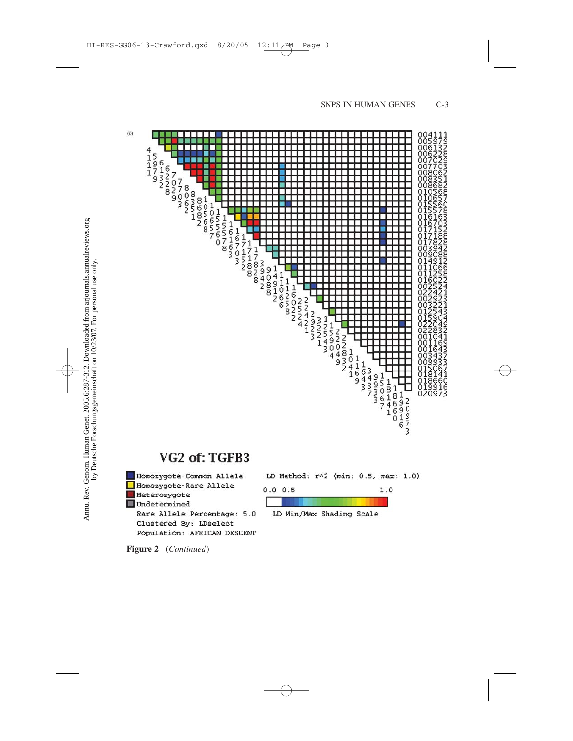

## VG2 of: TGFB3



LD Method: r^2 (min: 0.5, max: 1.0)



**Figure 2** (*Continued*)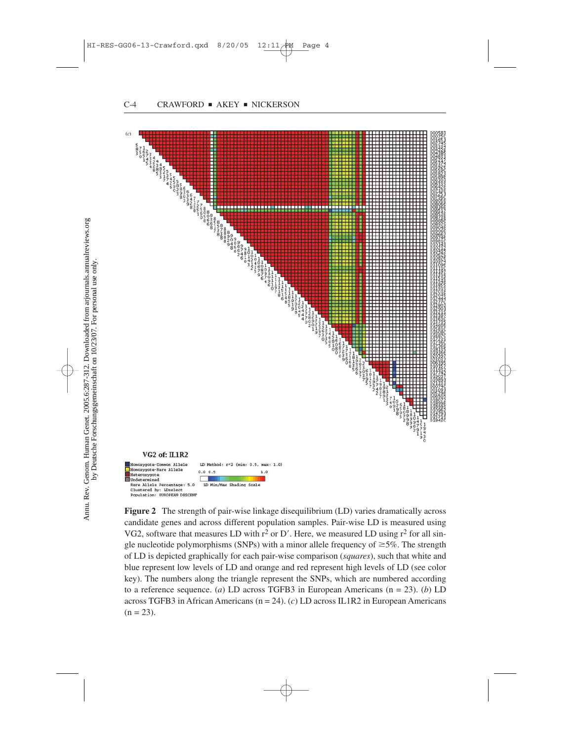

**Figure 2** The strength of pair-wise linkage disequilibrium (LD) varies dramatically across candidate genes and across different population samples. Pair-wise LD is measured using VG2, software that measures LD with  $r^2$  or D'. Here, we measured LD using  $r^2$  for all single nucleotide polymorphisms (SNPs) with a minor allele frequency of  $\geq$ 5%. The strength of LD is depicted graphically for each pair-wise comparison (*squares*), such that white and blue represent low levels of LD and orange and red represent high levels of LD (see color key). The numbers along the triangle represent the SNPs, which are numbered according to a reference sequence. (*a*) LD across TGFB3 in European Americans (n = 23). (*b*) LD across TGFB3 in African Americans (n = 24). (*c*) LD across IL1R2 in European Americans  $(n = 23)$ .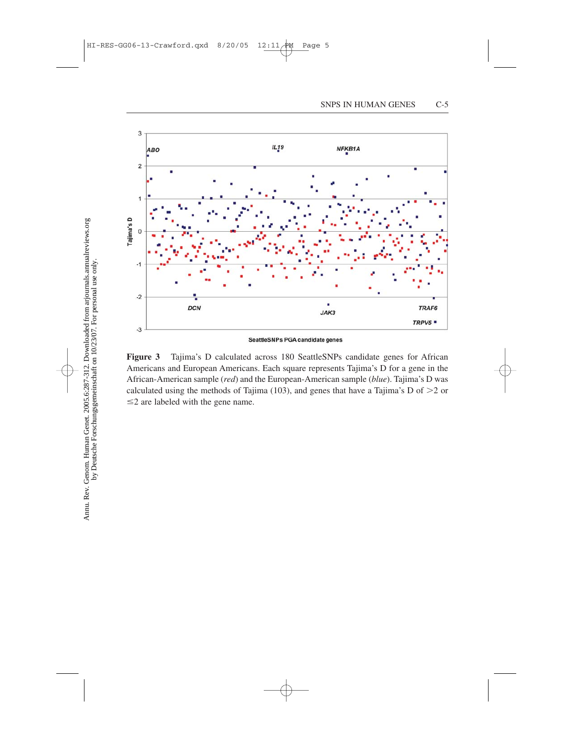

SeattleSNPs PGA candidate genes

**Figure 3** Tajima's D calculated across 180 SeattleSNPs candidate genes for African Americans and European Americans. Each square represents Tajima's D for a gene in the African-American sample (*red*) and the European-American sample (*blue*). Tajima's D was calculated using the methods of Tajima (103), and genes that have a Tajima's D of  $>2$  or  $\leq$  2 are labeled with the gene name.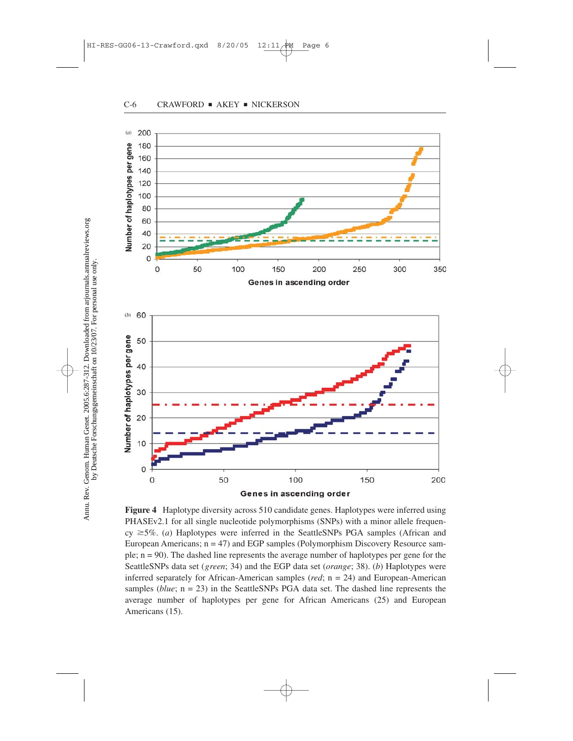



**Figure 4** Haplotype diversity across 510 candidate genes. Haplotypes were inferred using PHASEv2.1 for all single nucleotide polymorphisms (SNPs) with a minor allele frequen $cy \geq 5\%$ . (*a*) Haplotypes were inferred in the SeattleSNPs PGA samples (African and European Americans;  $n = 47$ ) and EGP samples (Polymorphism Discovery Resource sample; n = 90). The dashed line represents the average number of haplotypes per gene for the SeattleSNPs data set (*green*; 34) and the EGP data set (*orange*; 38). (*b*) Haplotypes were inferred separately for African-American samples (*red*; n = 24) and European-American samples (*blue*; n = 23) in the SeattleSNPs PGA data set. The dashed line represents the average number of haplotypes per gene for African Americans (25) and European Americans (15).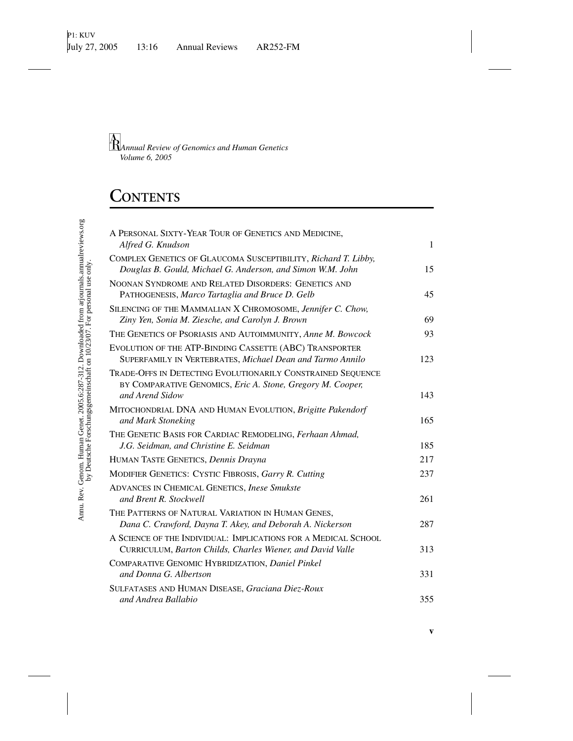# **CONTENTS**

| A PERSONAL SIXTY-YEAR TOUR OF GENETICS AND MEDICINE,                                                                                         |              |
|----------------------------------------------------------------------------------------------------------------------------------------------|--------------|
| Alfred G. Knudson                                                                                                                            | $\mathbf{1}$ |
| COMPLEX GENETICS OF GLAUCOMA SUSCEPTIBILITY, Richard T. Libby,<br>Douglas B. Gould, Michael G. Anderson, and Simon W.M. John                 | 15           |
| NOONAN SYNDROME AND RELATED DISORDERS: GENETICS AND<br>PATHOGENESIS, Marco Tartaglia and Bruce D. Gelb                                       | 45           |
| SILENCING OF THE MAMMALIAN X CHROMOSOME, Jennifer C. Chow,<br>Ziny Yen, Sonia M. Ziesche, and Carolyn J. Brown                               | 69           |
| THE GENETICS OF PSORIASIS AND AUTOIMMUNITY, Anne M. Bowcock                                                                                  | 93           |
| EVOLUTION OF THE ATP-BINDING CASSETTE (ABC) TRANSPORTER<br>SUPERFAMILY IN VERTEBRATES, Michael Dean and Tarmo Annilo                         | 123          |
| TRADE-OFFS IN DETECTING EVOLUTIONARILY CONSTRAINED SEQUENCE<br>BY COMPARATIVE GENOMICS, Eric A. Stone, Gregory M. Cooper,<br>and Arend Sidow | 143          |
| MITOCHONDRIAL DNA AND HUMAN EVOLUTION, Brigitte Pakendorf                                                                                    |              |
| and Mark Stoneking                                                                                                                           | 165          |
| THE GENETIC BASIS FOR CARDIAC REMODELING, Ferhaan Ahmad,                                                                                     |              |
| J.G. Seidman, and Christine E. Seidman                                                                                                       | 185          |
| HUMAN TASTE GENETICS, Dennis Drayna                                                                                                          | 217          |
| MODIFIER GENETICS: CYSTIC FIBROSIS, Garry R. Cutting                                                                                         | 237          |
| <b>ADVANCES IN CHEMICAL GENETICS, Inese Smukste</b><br>and Brent R. Stockwell                                                                | 261          |
| THE PATTERNS OF NATURAL VARIATION IN HUMAN GENES,<br>Dana C. Crawford, Dayna T. Akey, and Deborah A. Nickerson                               | 287          |
| A SCIENCE OF THE INDIVIDUAL: IMPLICATIONS FOR A MEDICAL SCHOOL<br>CURRICULUM, Barton Childs, Charles Wiener, and David Valle                 | 313          |
| COMPARATIVE GENOMIC HYBRIDIZATION, Daniel Pinkel<br>and Donna G. Albertson                                                                   | 331          |
| SULFATASES AND HUMAN DISEASE, Graciana Diez-Roux<br>and Andrea Ballabio                                                                      | 355          |